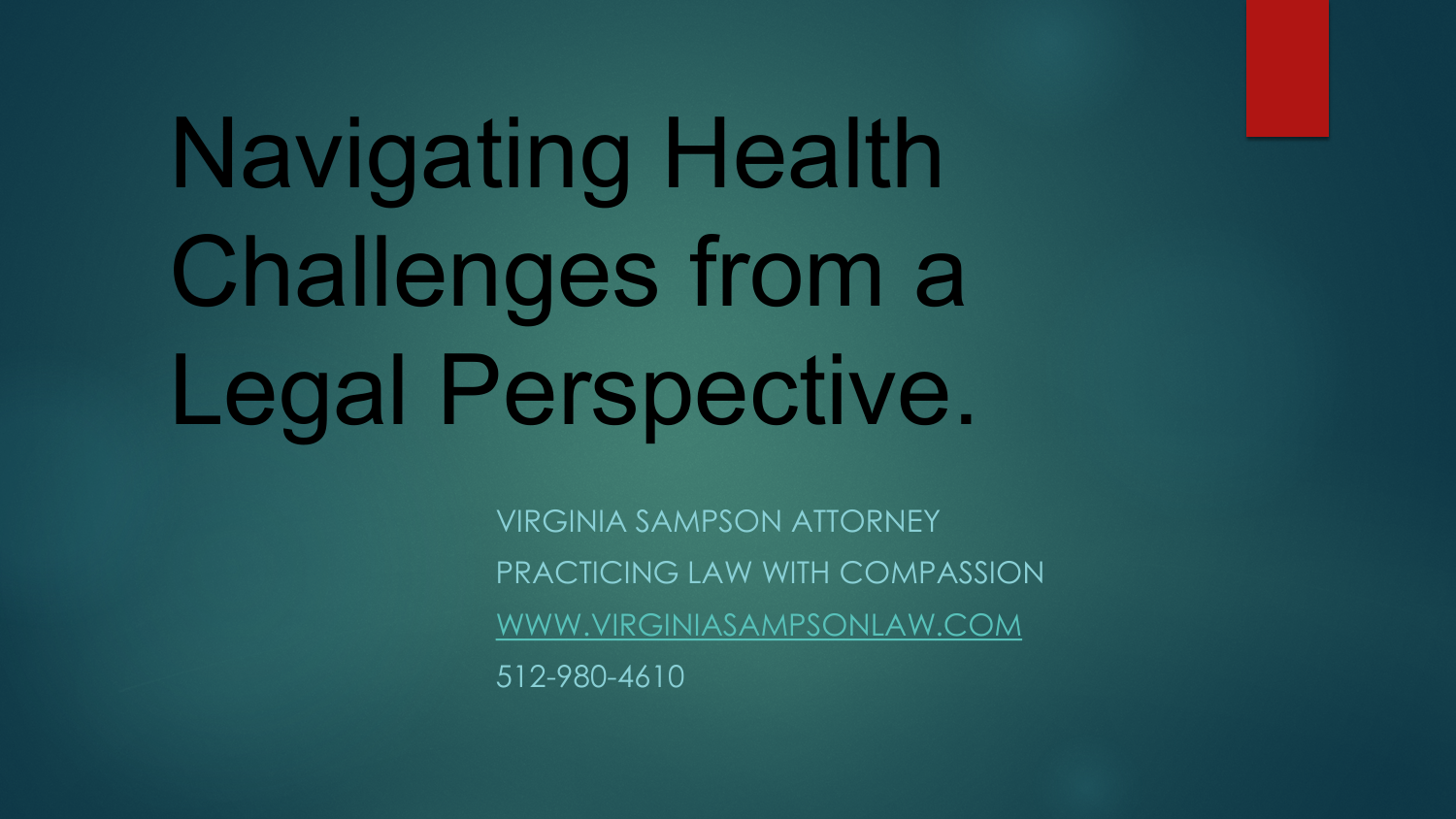# Navigating Health Challenges from a Legal Perspective.

VIRGINIA SAMPSON ATTORNEY PRACTICING LAW WITH COMPASSION [WWW.VIRGINIASAMPSONLAW.COM](http://www.virginiasampsonlaw.com/) 512-980-4610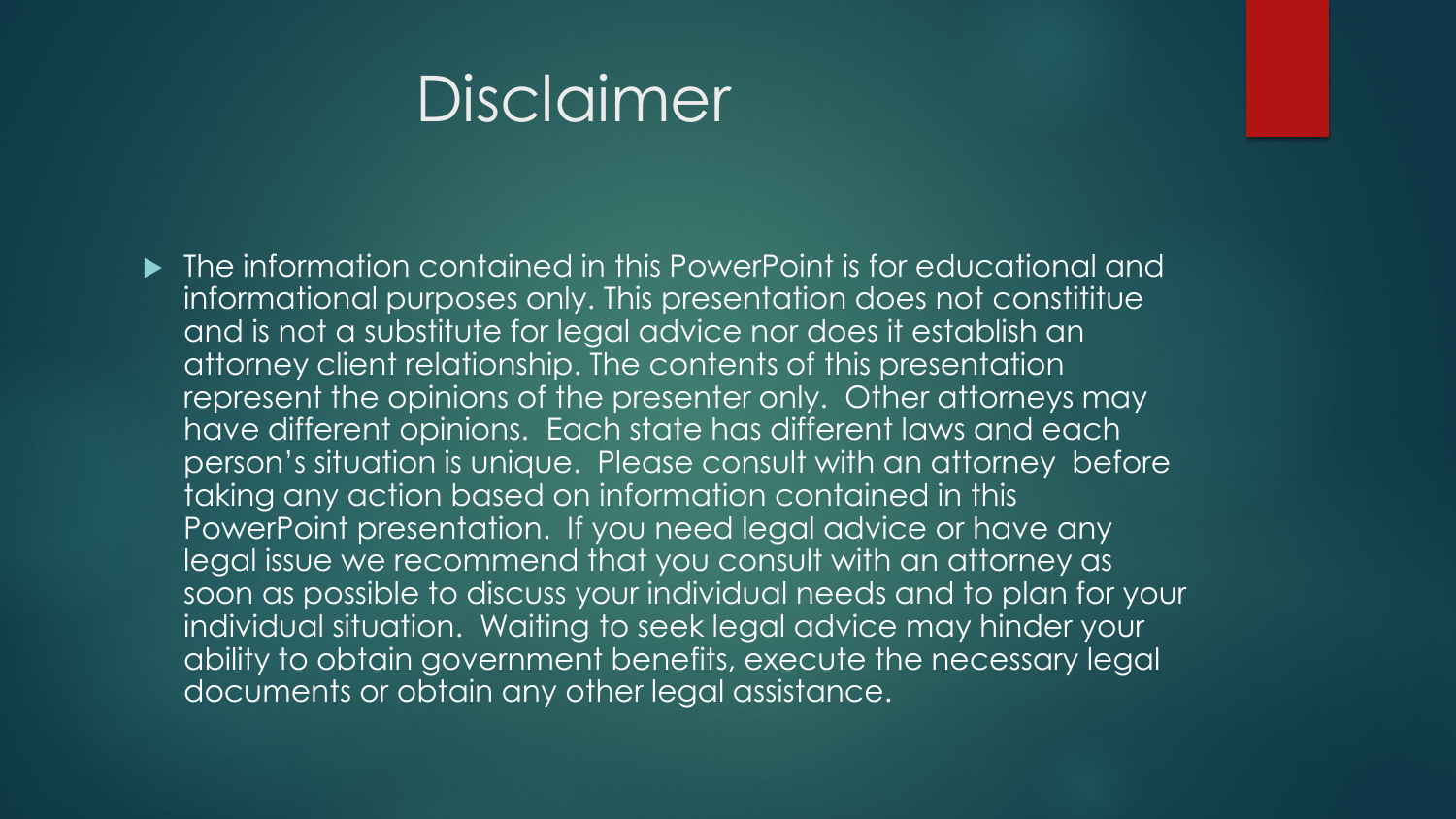#### Disclaimer

▶ The information contained in this PowerPoint is for educational and informational purposes only. This presentation does not constititue and is not a substitute for legal advice nor does it establish an attorney client relationship. The contents of this presentation represent the opinions of the presenter only. Other attorneys may have different opinions. Each state has different laws and each person's situation is unique. Please consult with an attorney before taking any action based on information contained in this PowerPoint presentation. If you need legal advice or have any legal issue we recommend that you consult with an attorney as soon as possible to discuss your individual needs and to plan for your individual situation. Waiting to seek legal advice may hinder your ability to obtain government benefits, execute the necessary legal documents or obtain any other legal assistance.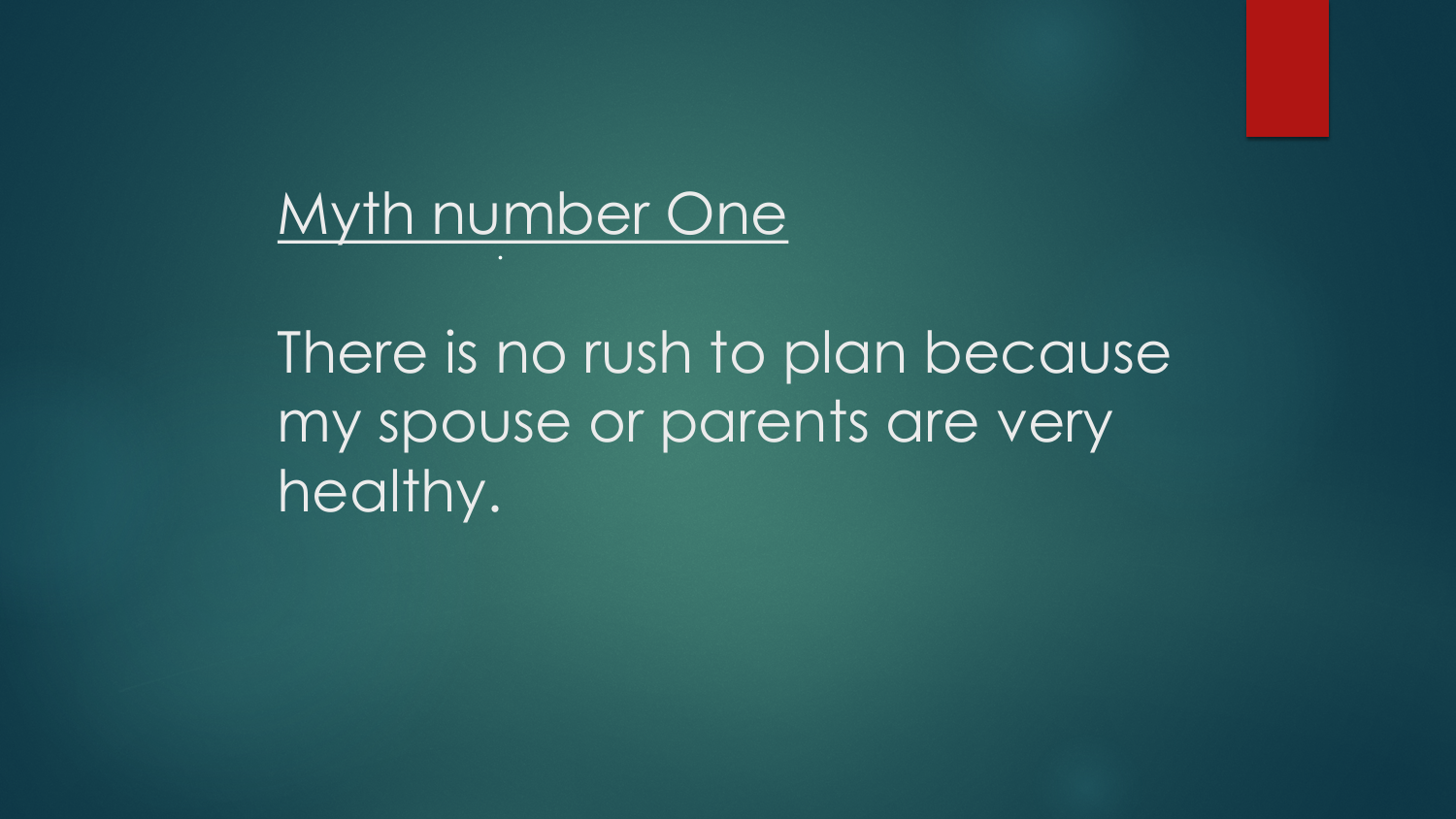#### Myth number One .

There is no rush to plan because my spouse or parents are very healthy.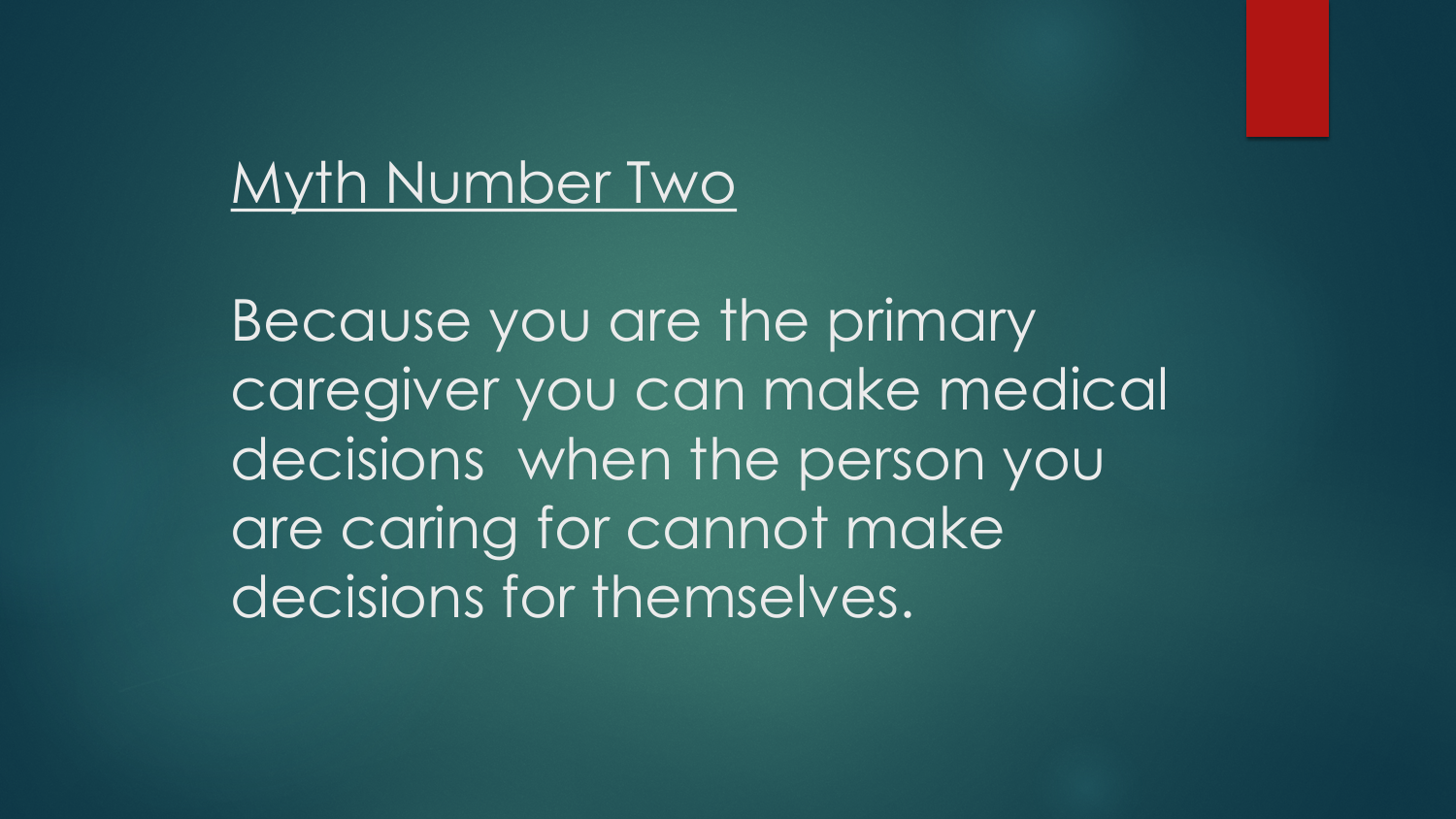#### Myth Number Two

Because you are the primary caregiver you can make medical decisions when the person you are caring for cannot make decisions for themselves.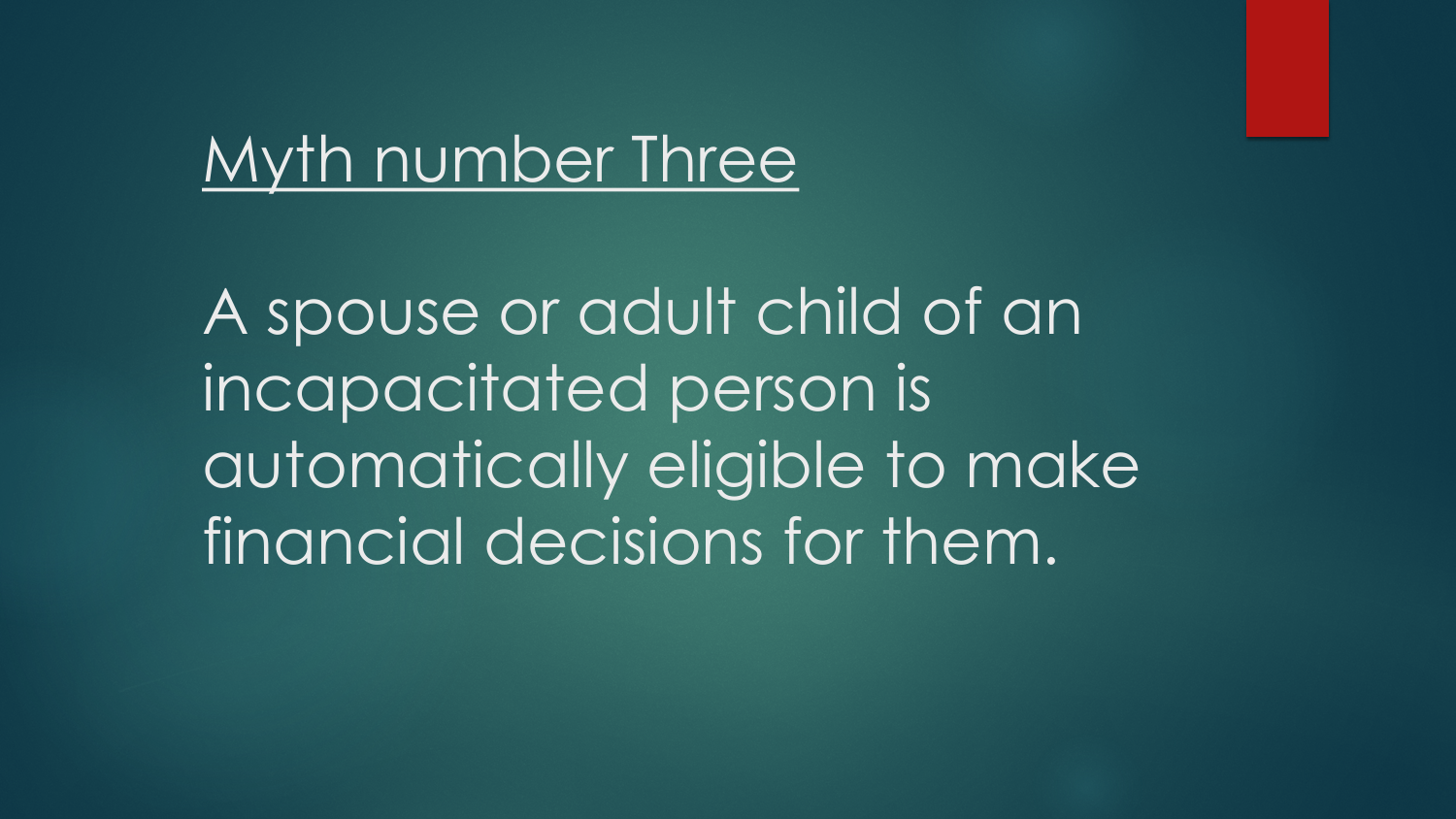#### Myth number Three

A spouse or adult child of an incapacitated person is automatically eligible to make financial decisions for them.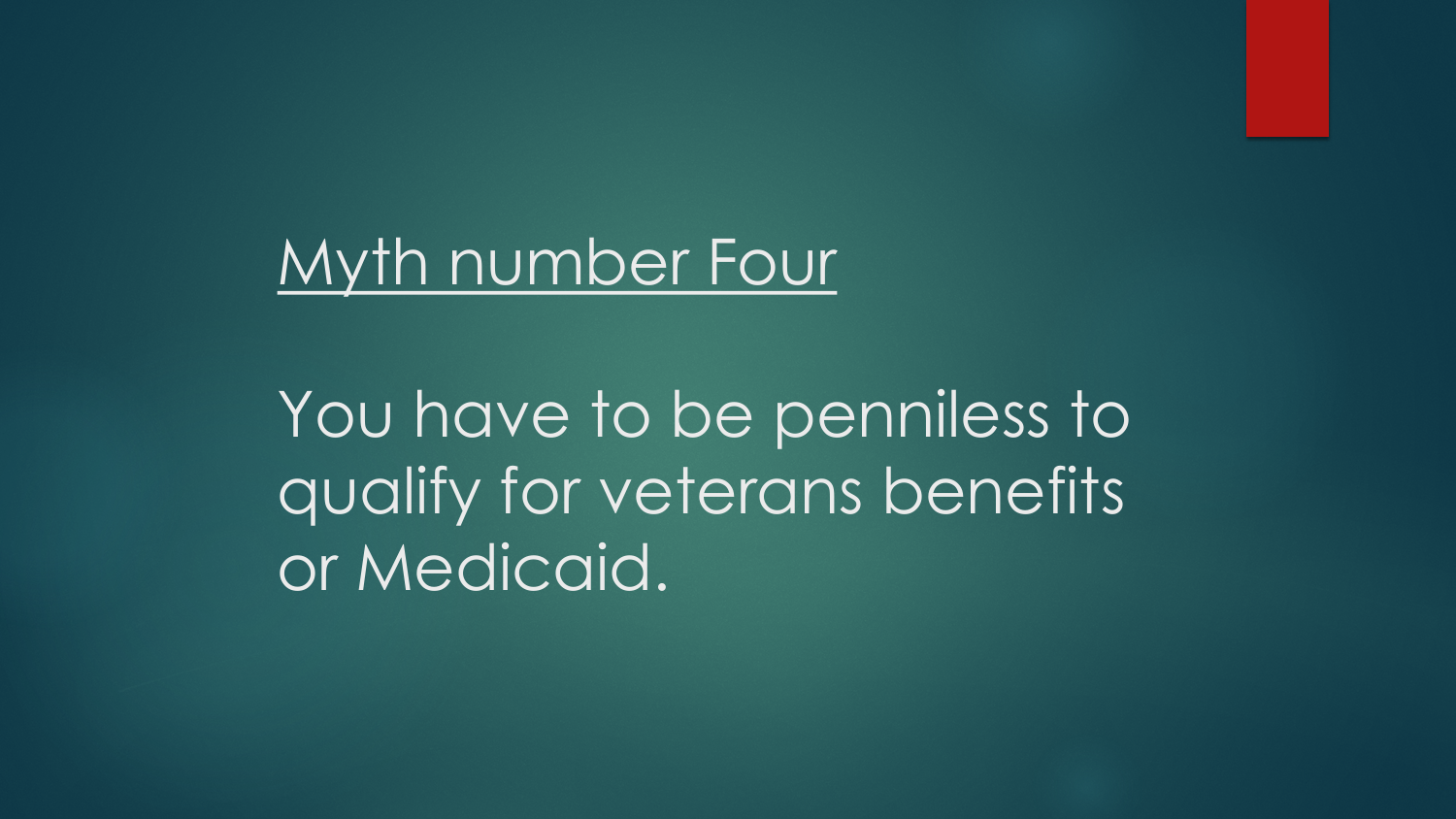#### Myth number Four

You have to be penniless to qualify for veterans benefits or Medicaid.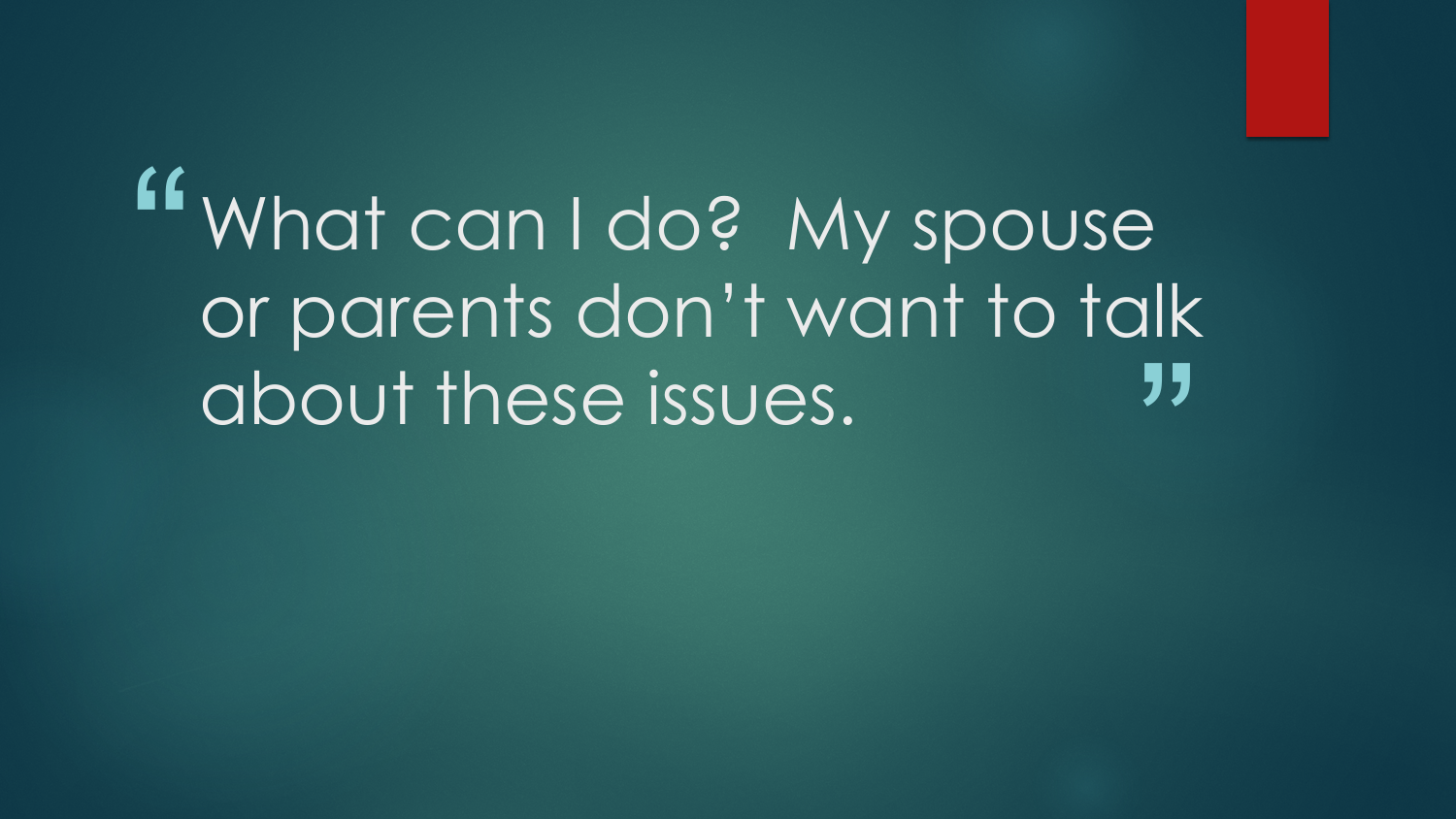"<br>" ,<br>,<br>, What can I do? My spouse or parents don't want to talk about these issues.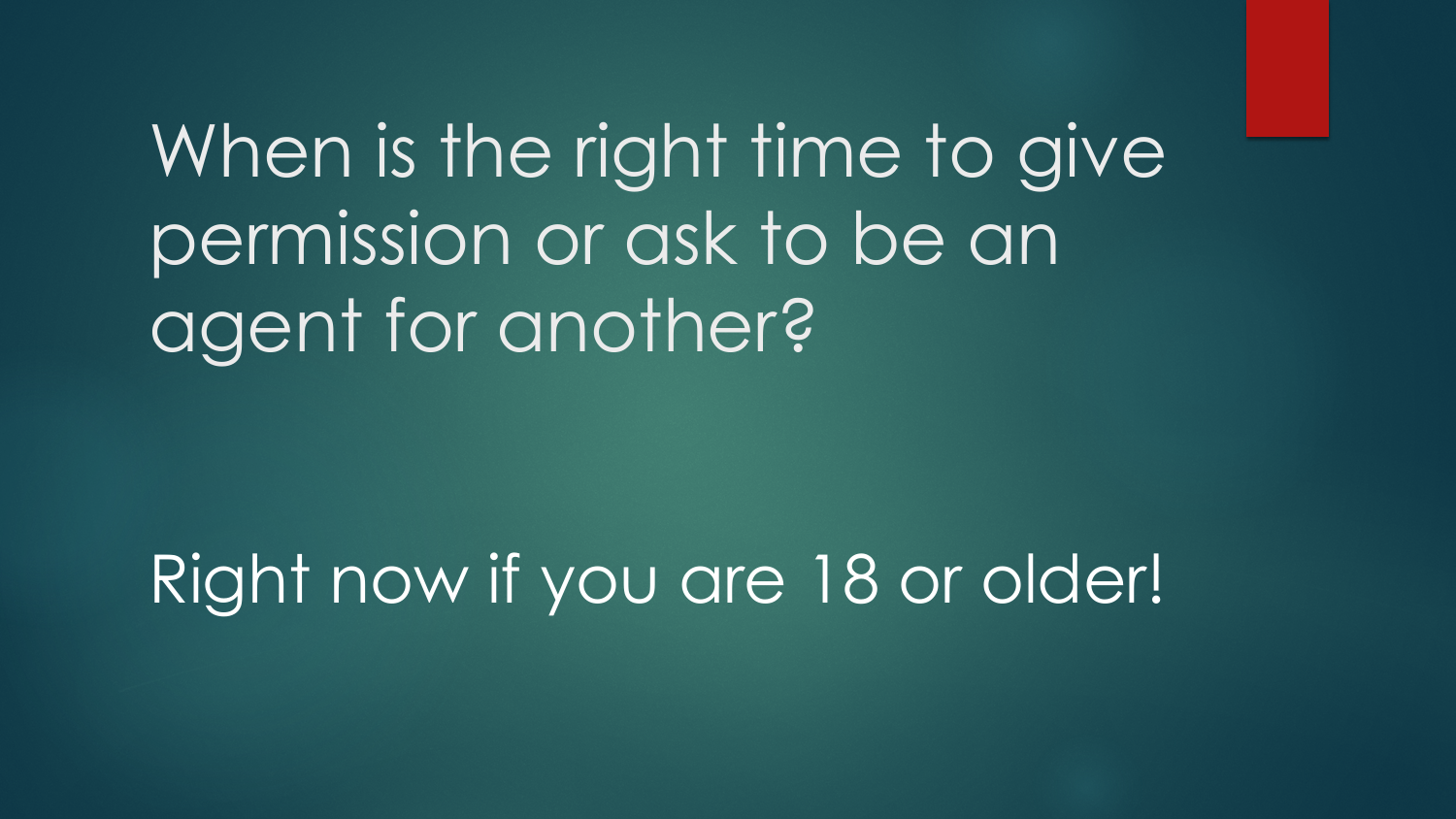When is the right time to give permission or ask to be an agent for another?

Right now if you are 18 or older!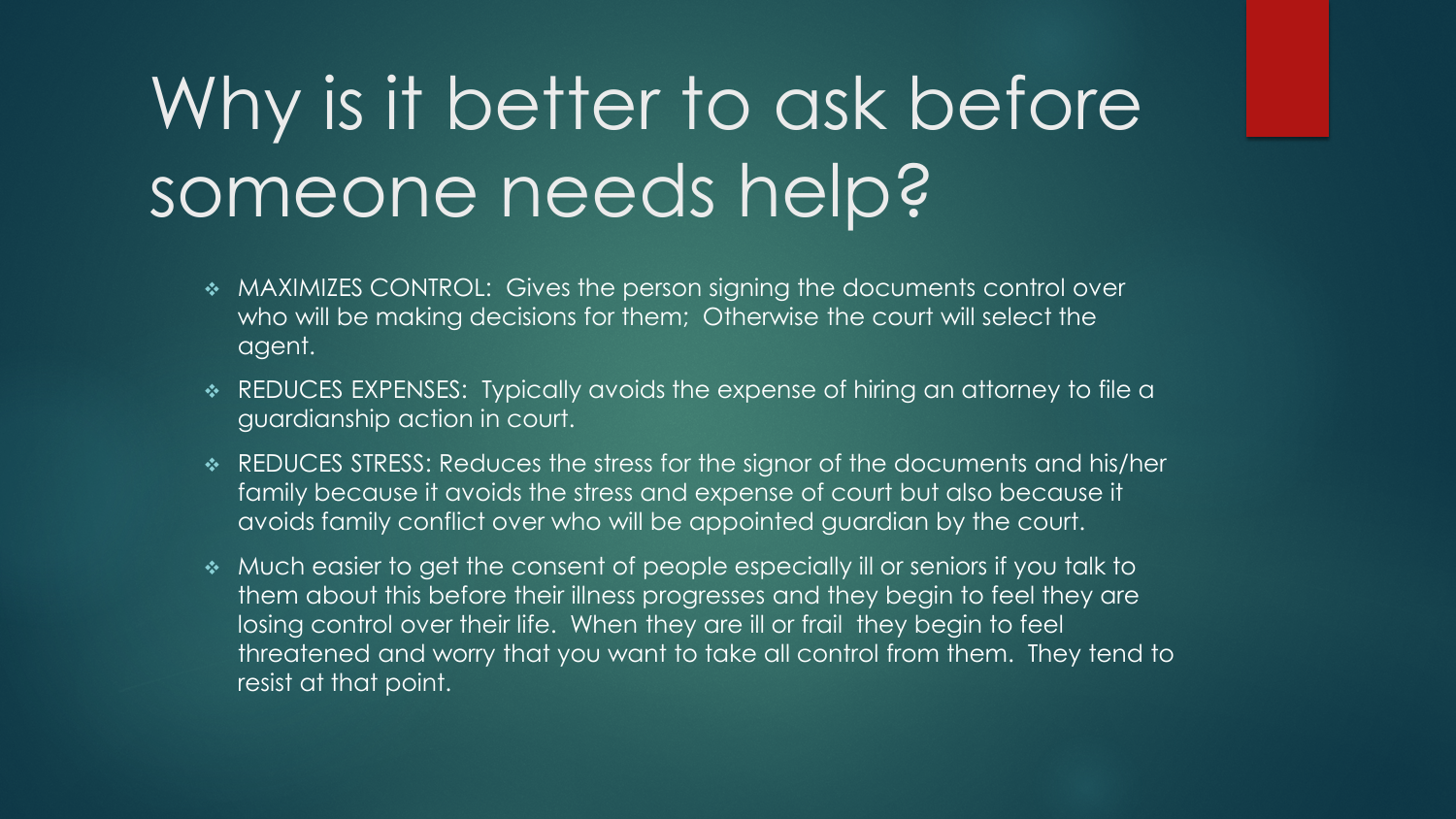# Why is it better to ask before someone needs help?

- MAXIMIZES CONTROL: Gives the person signing the documents control over who will be making decisions for them; Otherwise the court will select the agent.
- REDUCES EXPENSES: Typically avoids the expense of hiring an attorney to file a guardianship action in court.
- REDUCES STRESS: Reduces the stress for the signor of the documents and his/her family because it avoids the stress and expense of court but also because it avoids family conflict over who will be appointed guardian by the court.
- Much easier to get the consent of people especially ill or seniors if you talk to them about this before their illness progresses and they begin to feel they are losing control over their life. When they are ill or frail they begin to feel threatened and worry that you want to take all control from them. They tend to resist at that point.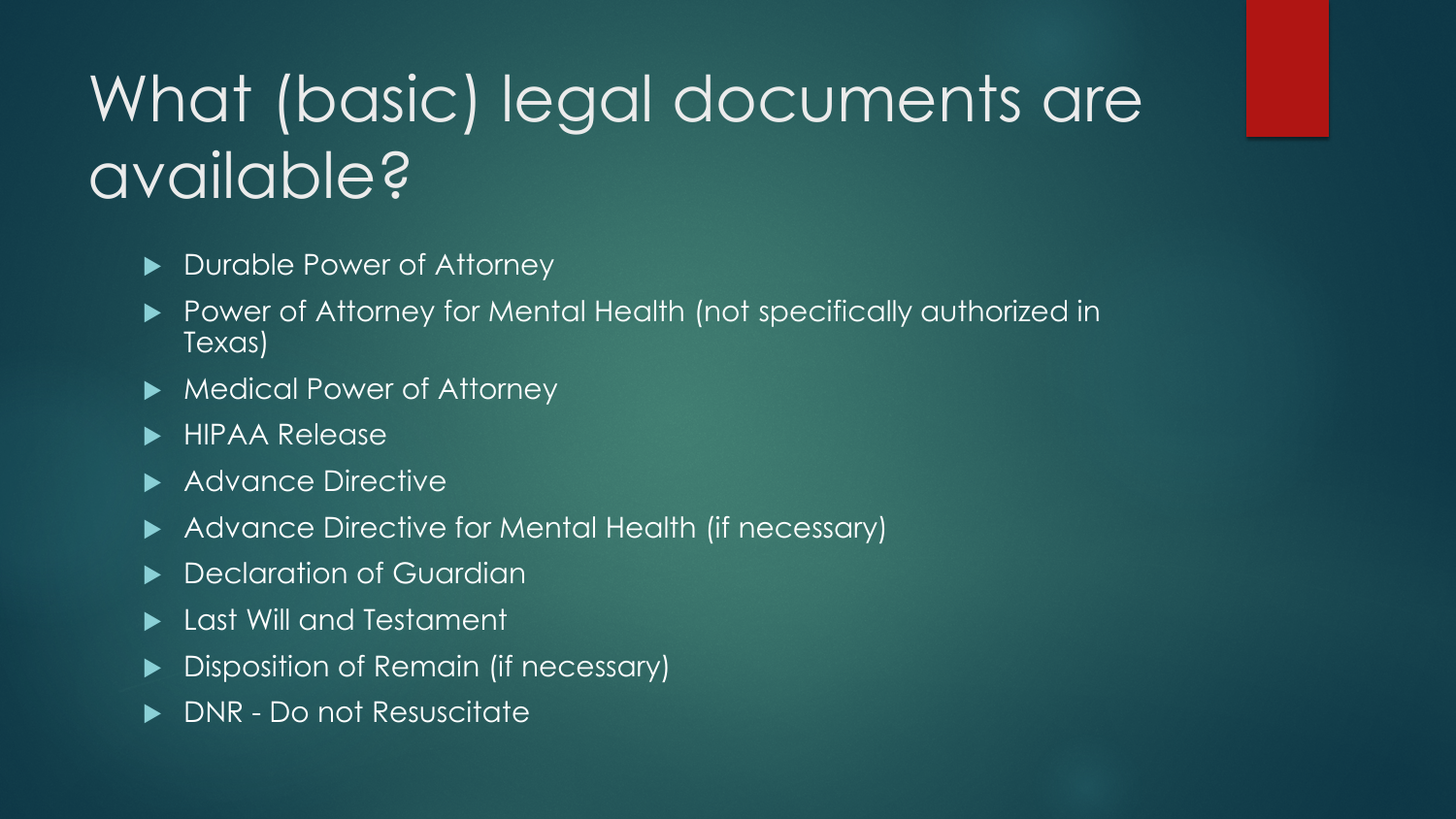# What (basic) legal documents are available?

- Durable Power of Attorney
- ▶ Power of Attorney for Mental Health (not specifically authorized in Texas)
- ▶ Medical Power of Attorney
- **HIPAA Release**
- Advance Directive
- Advance Directive for Mental Health (if necessary)
- Declaration of Guardian
- Last Will and Testament
- Disposition of Remain (if necessary)
- DNR Do not Resuscitate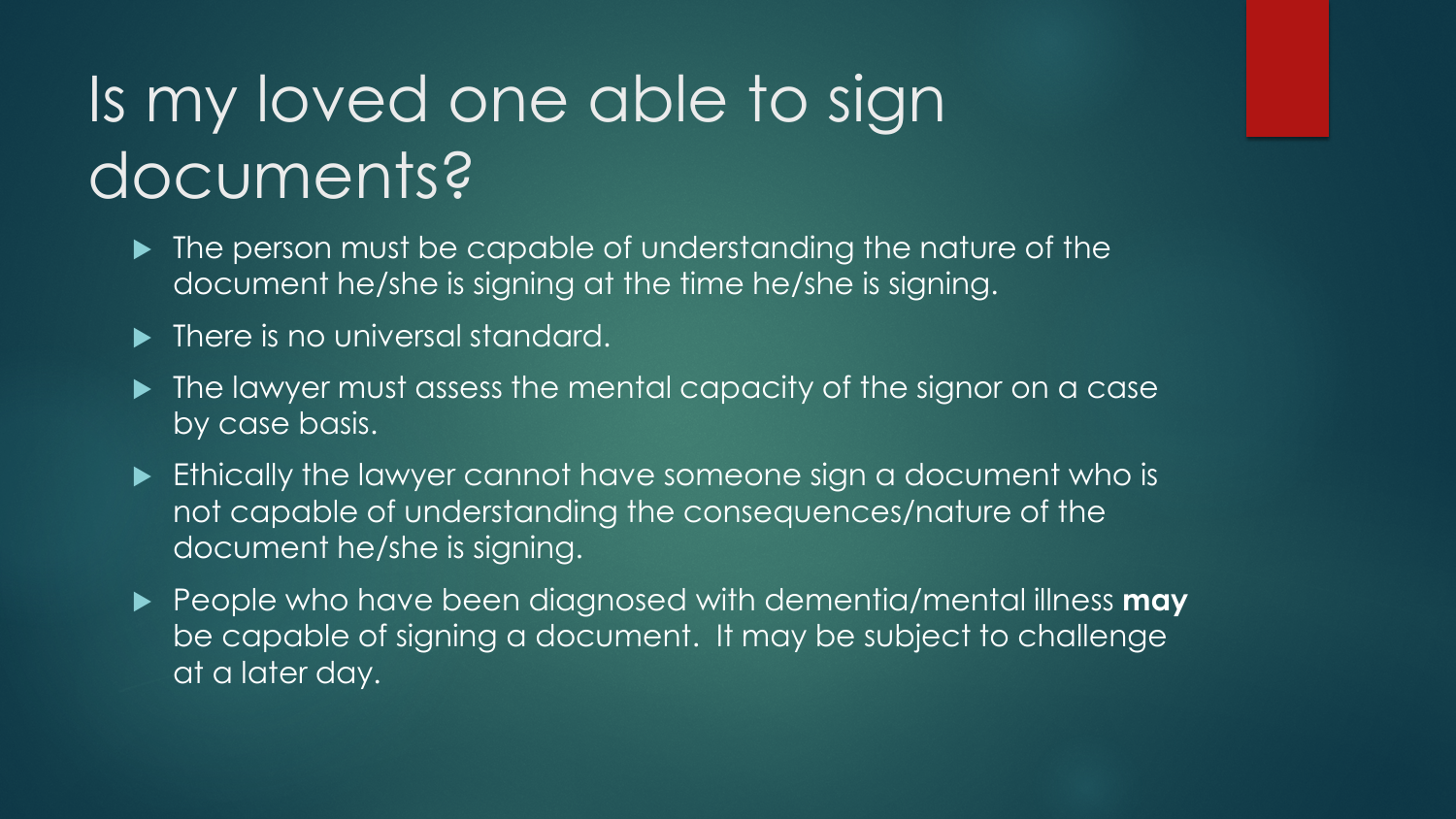# Is my loved one able to sign documents?

- The person must be capable of understanding the nature of the document he/she is signing at the time he/she is signing.
- **There is no universal standard.**
- $\blacktriangleright$  The lawyer must assess the mental capacity of the signor on a case by case basis.
- Ethically the lawyer cannot have someone sign a document who is not capable of understanding the consequences/nature of the document he/she is signing.
- People who have been diagnosed with dementia/mental illness **may** be capable of signing a document. It may be subject to challenge at a later day.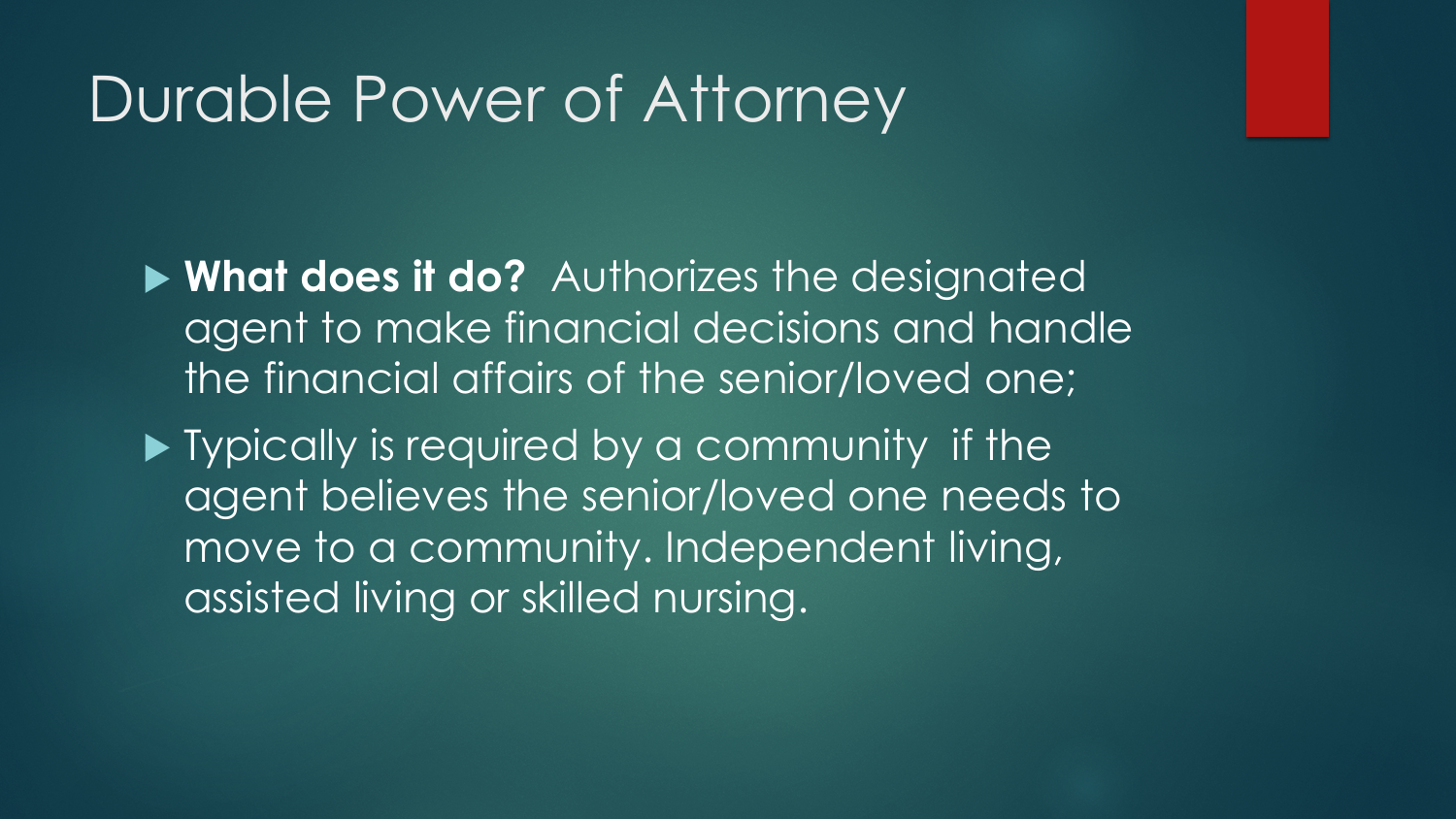#### Durable Power of Attorney

 **What does it do?** Authorizes the designated agent to make financial decisions and handle the financial affairs of the senior/loved one;

**Typically is required by a community if the** agent believes the senior/loved one needs to move to a community. Independent living, assisted living or skilled nursing.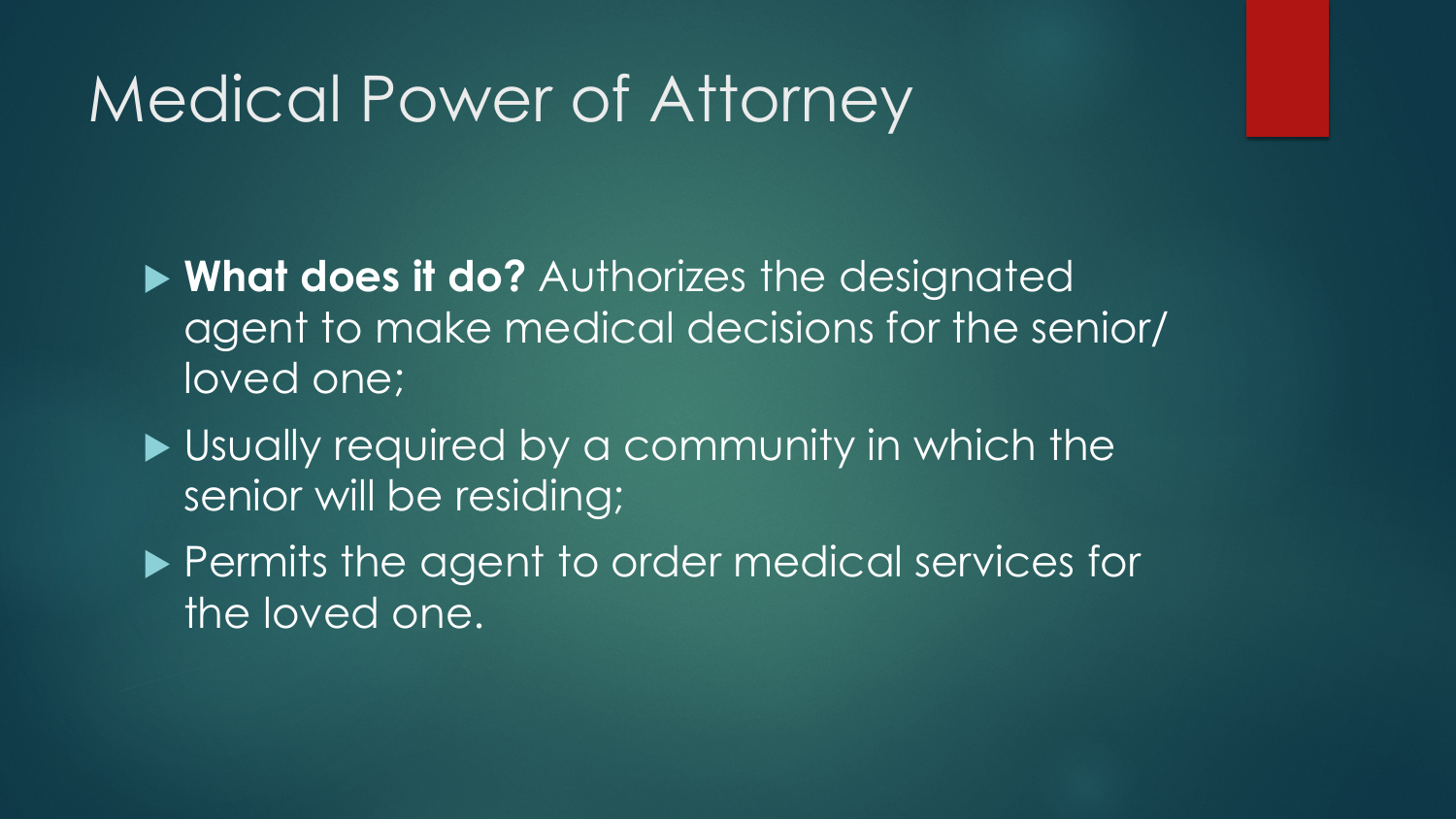### Medical Power of Attorney

 **What does it do?** Authorizes the designated agent to make medical decisions for the senior/ loved one;

- ▶ Usually required by a community in which the senior will be residing;
- **Permits the agent to order medical services for** the loved one.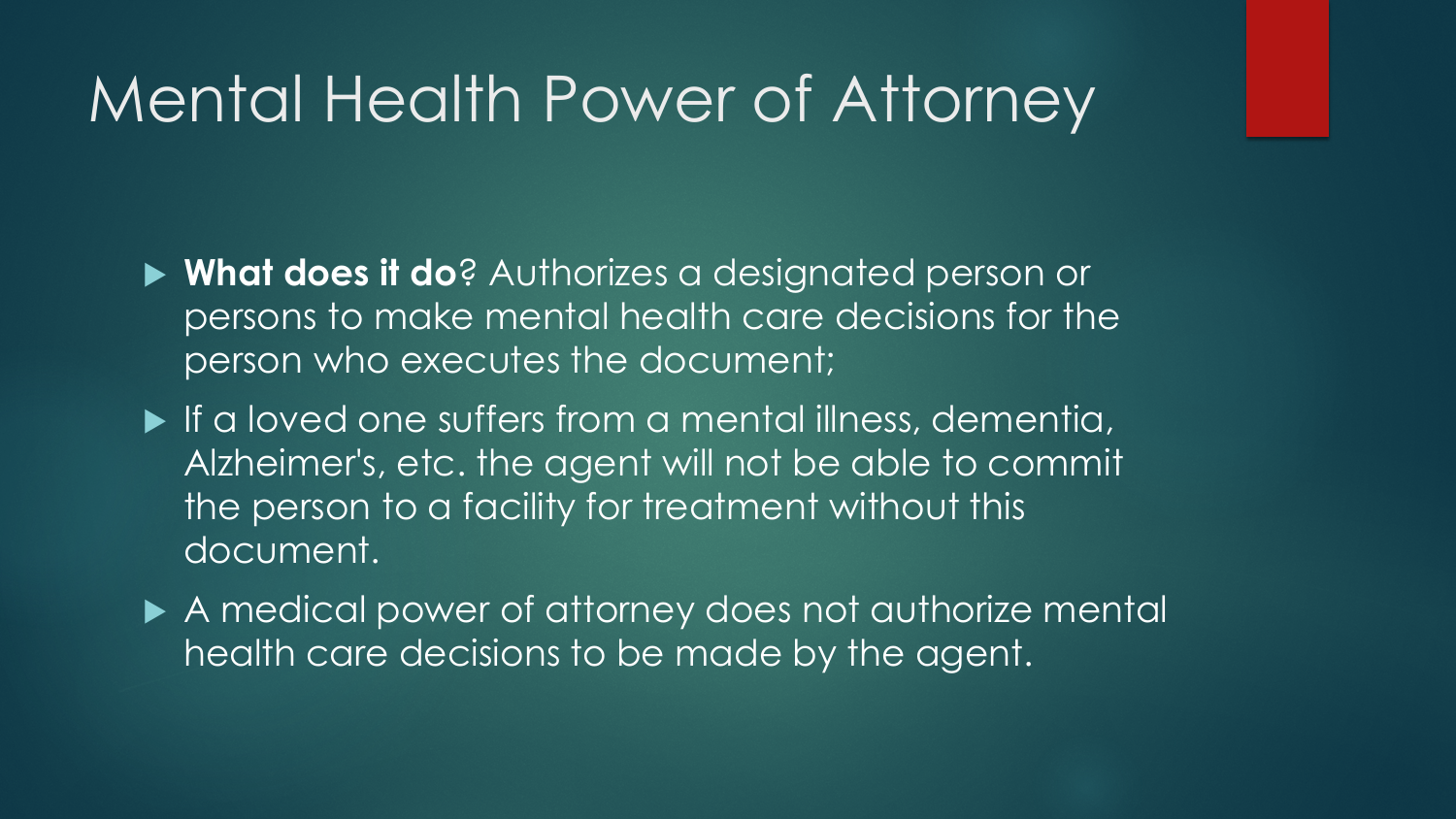#### Mental Health Power of Attorney

- **What does it do**? Authorizes a designated person or persons to make mental health care decisions for the person who executes the document;
- If a loved one suffers from a mental illness, dementia, Alzheimer's, etc. the agent will not be able to commit the person to a facility for treatment without this document.
- A medical power of attorney does not authorize mental health care decisions to be made by the agent.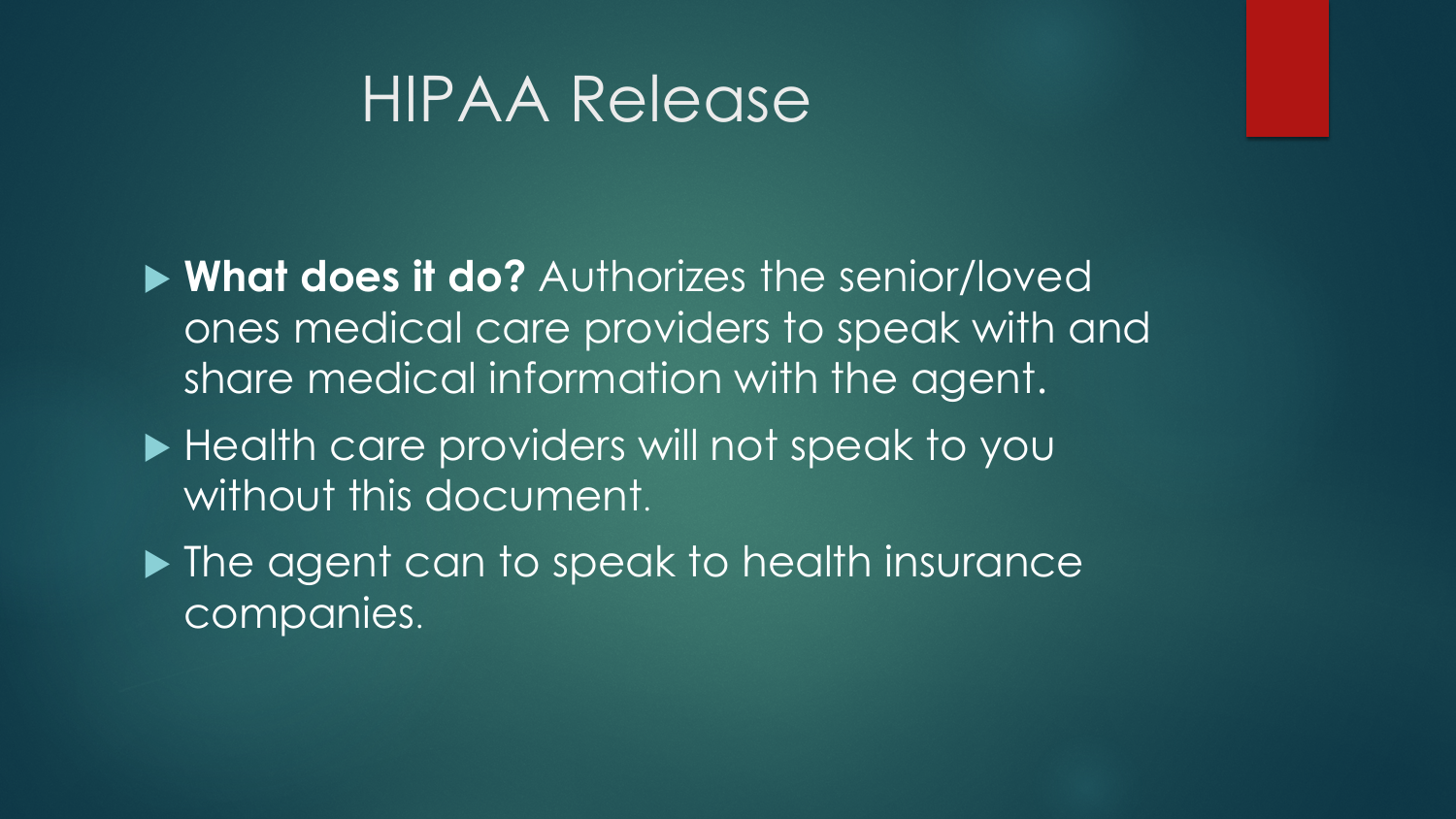#### HIPAA Release

 **What does it do?** Authorizes the senior/loved ones medical care providers to speak with and share medical information with the agent.

- ▶ Health care providers will not speak to you without this document.
- ▶ The agent can to speak to health insurance companies.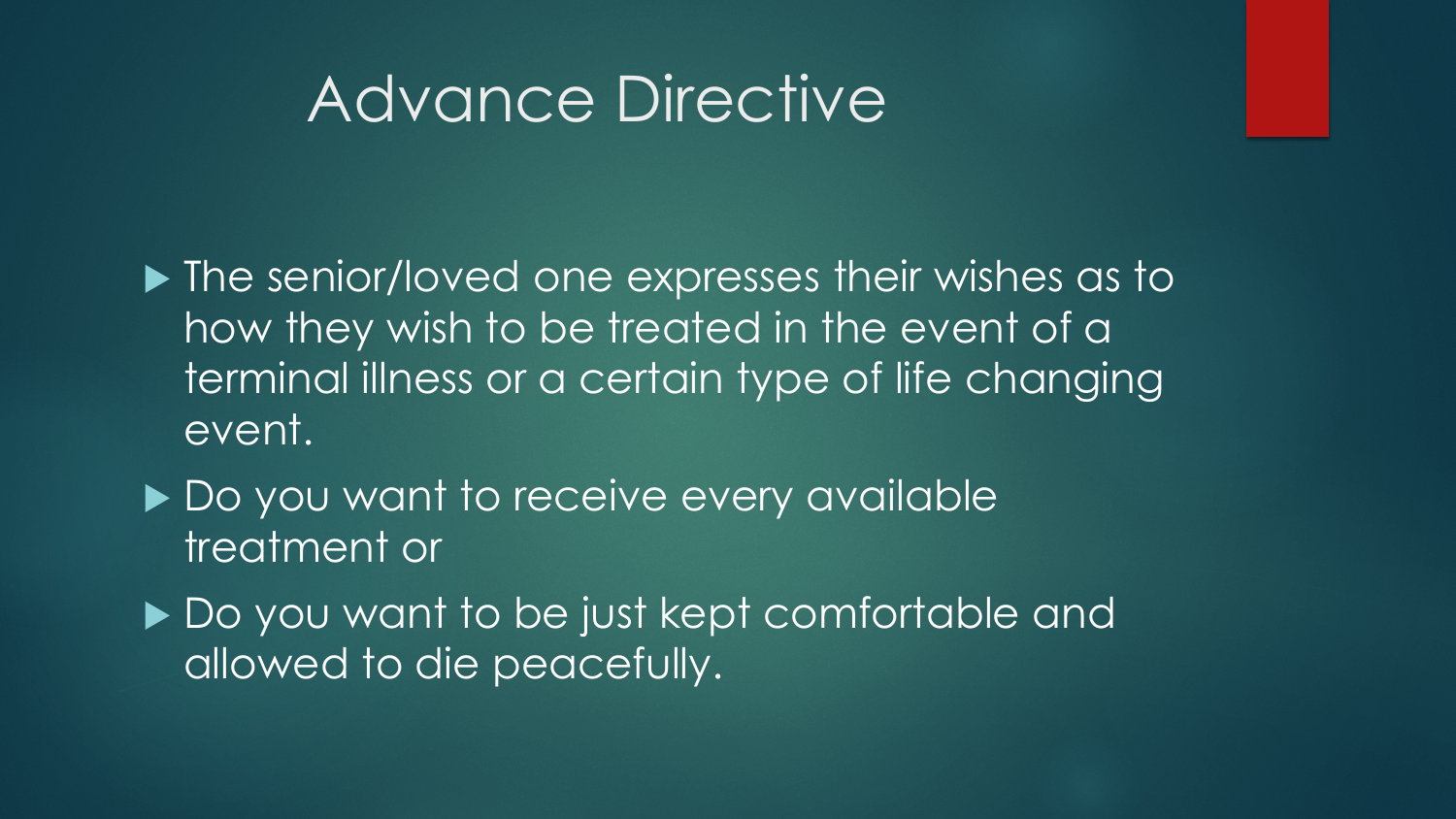#### Advance Directive

**In The senior/loved one expresses their wishes as to** how they wish to be treated in the event of a terminal illness or a certain type of life changing event.

- ▶ Do you want to receive every available treatment or
- ▶ Do you want to be just kept comfortable and allowed to die peacefully.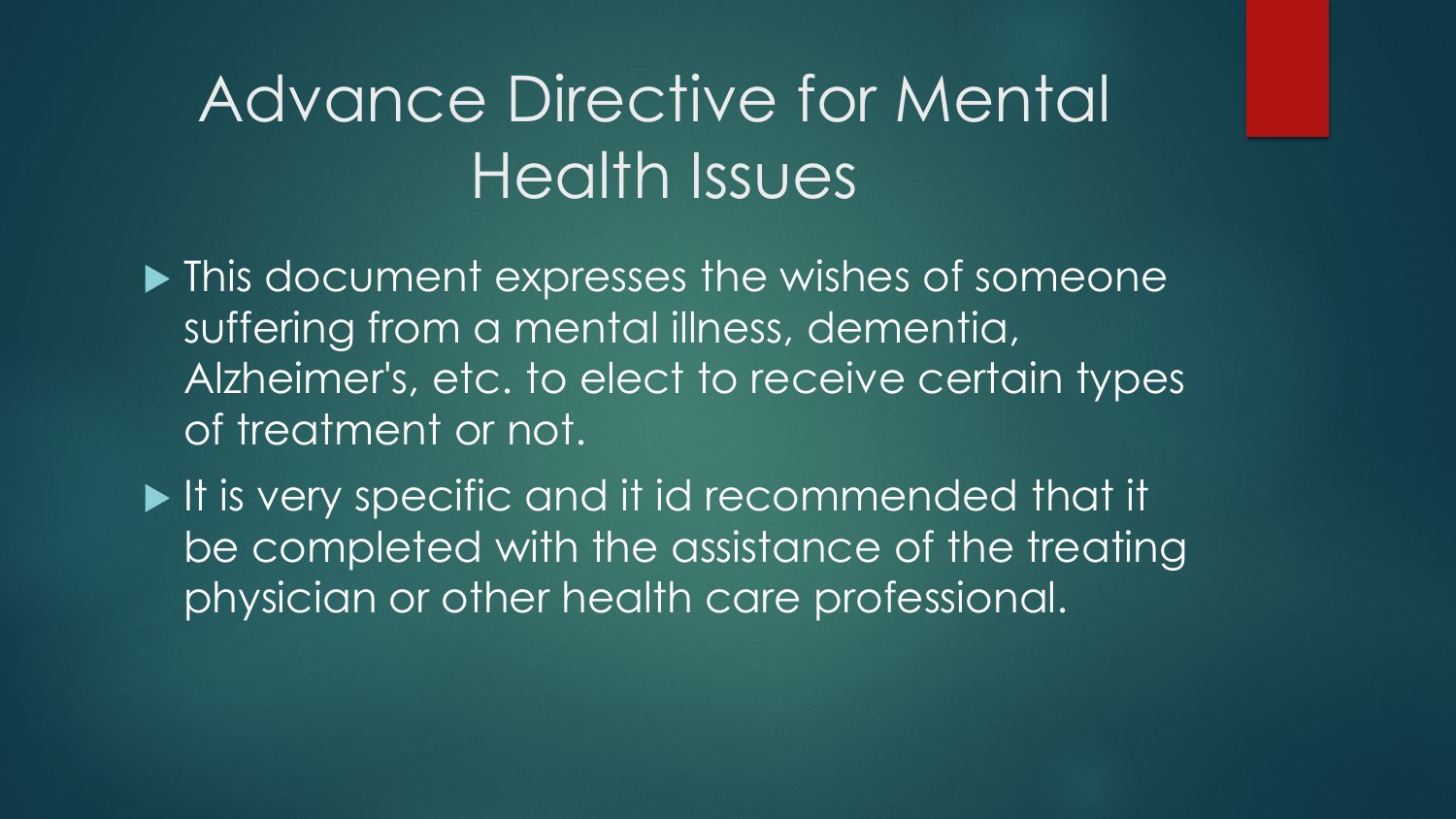# Advance Directive for Mental Health Issues

 $\blacktriangleright$  This document expresses the wishes of someone suffering from a mental illness, dementia, Alzheimer's, etc. to elect to receive certain types of treatment or not.

If is very specific and it id recommended that it be completed with the assistance of the treating physician or other health care professional.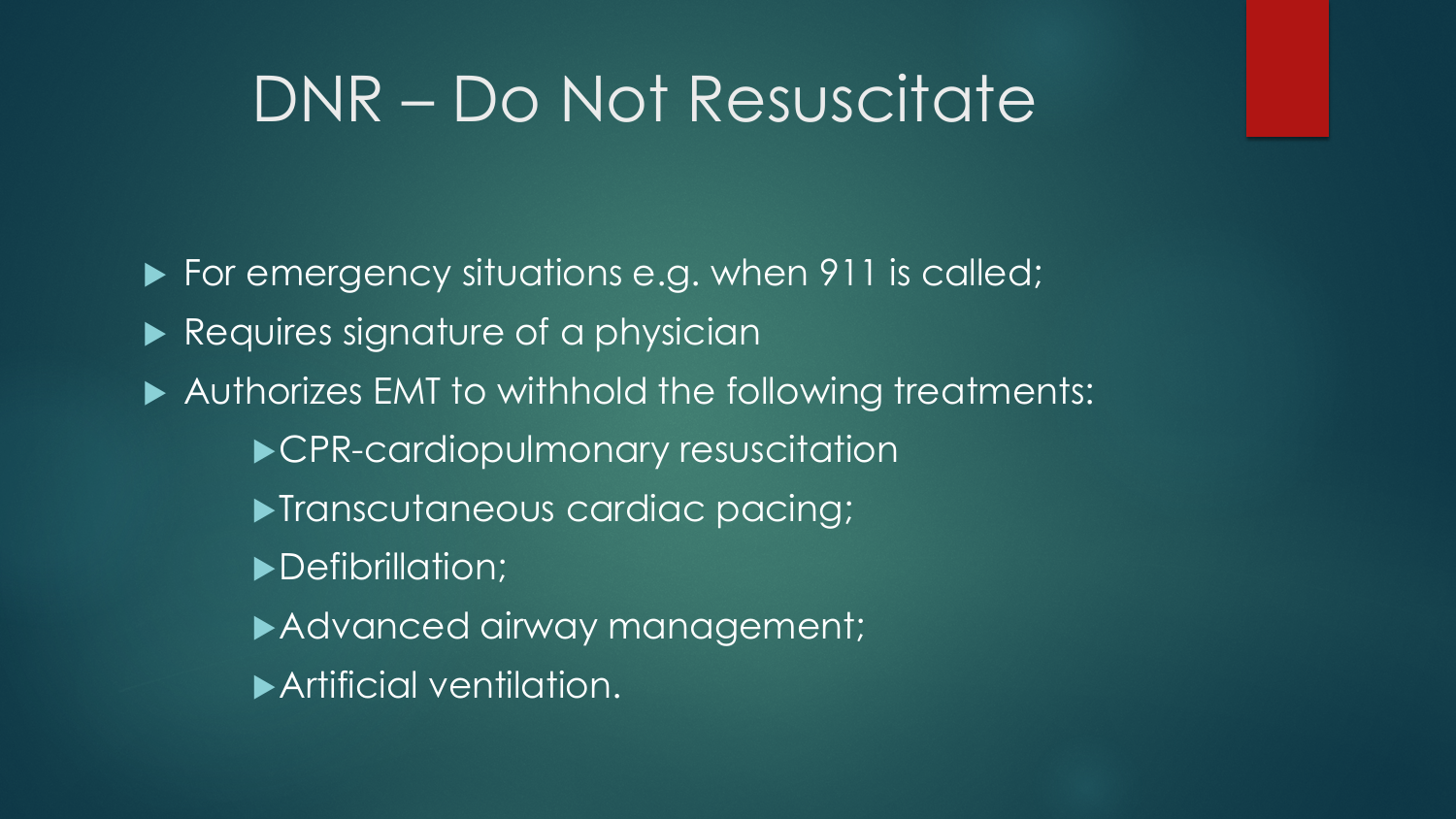#### DNR – Do Not Resuscitate

For emergency situations e.g. when 911 is called; Requires signature of a physician ▶ Authorizes EMT to withhold the following treatments: CPR-cardiopulmonary resuscitation **Transcutaneous cardiac pacing;** Defibrillation; Advanced airway management; Artificial ventilation.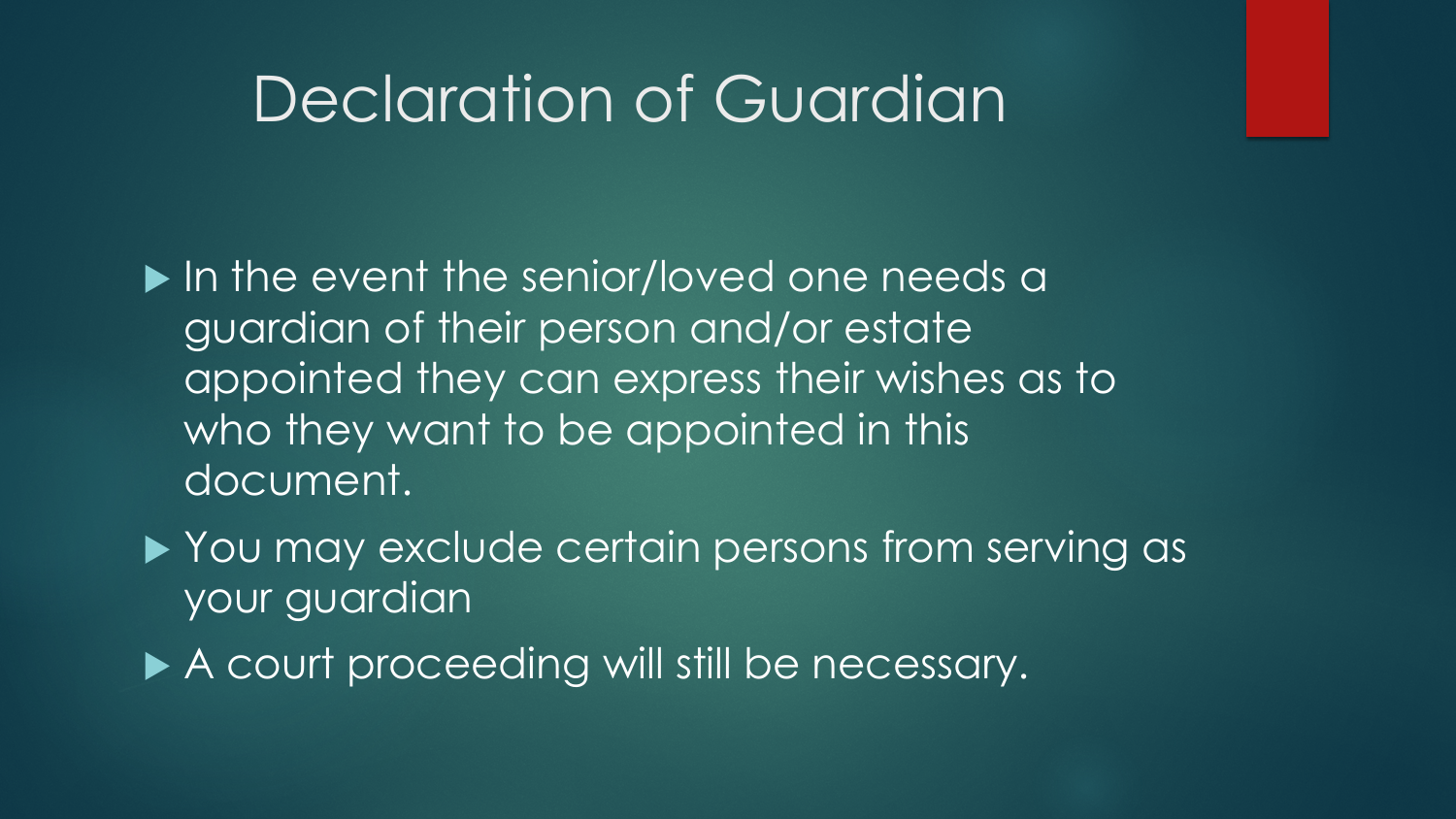#### Declaration of Guardian

In the event the senior/loved one needs a guardian of their person and/or estate appointed they can express their wishes as to who they want to be appointed in this document.

▶ You may exclude certain persons from serving as your guardian

A court proceeding will still be necessary.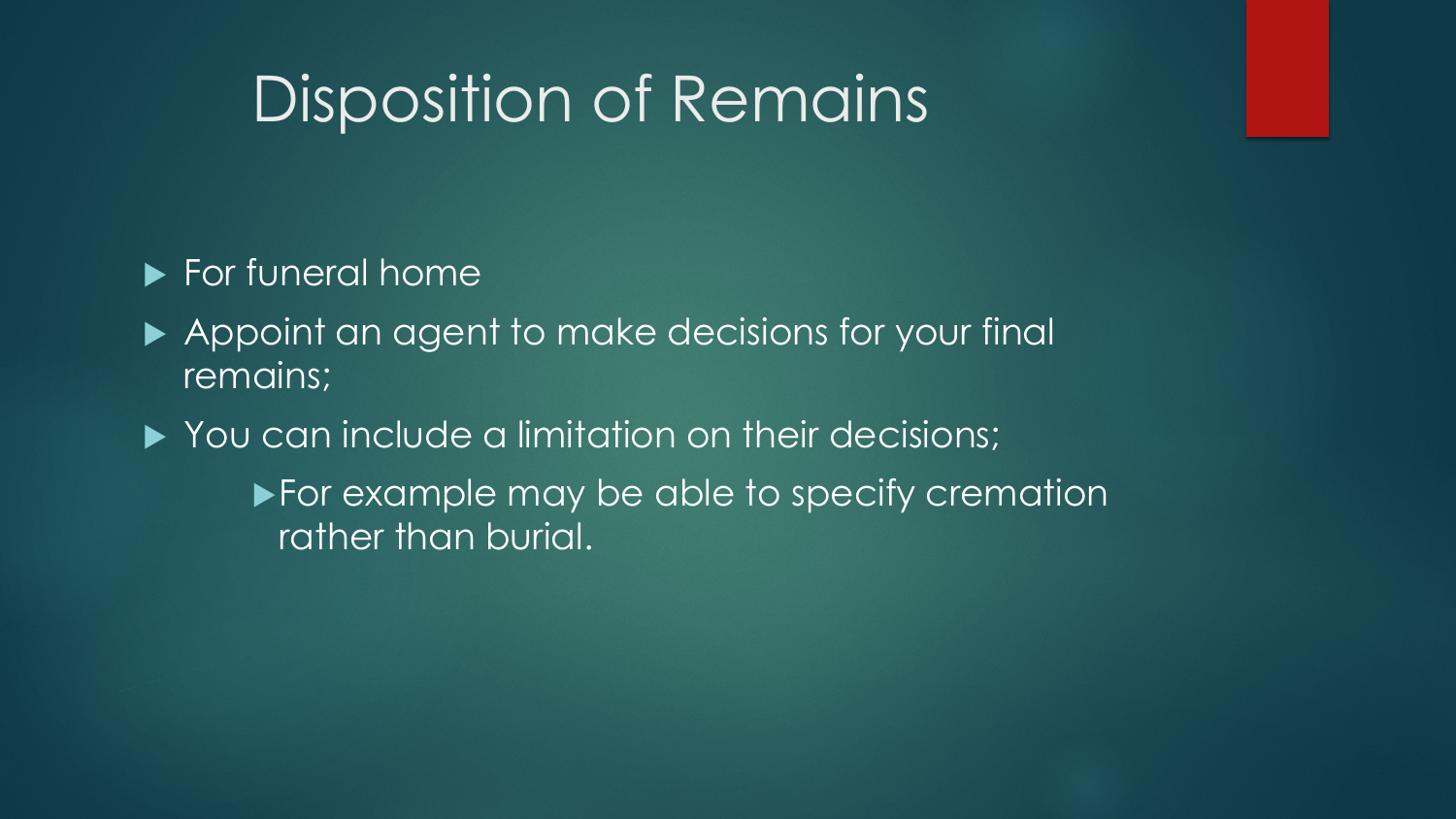# Disposition of Remains

#### **For funeral home**

- Appoint an agent to make decisions for your final remains;
- You can include a limitation on their decisions;
	- For example may be able to specify cremation rather than burial.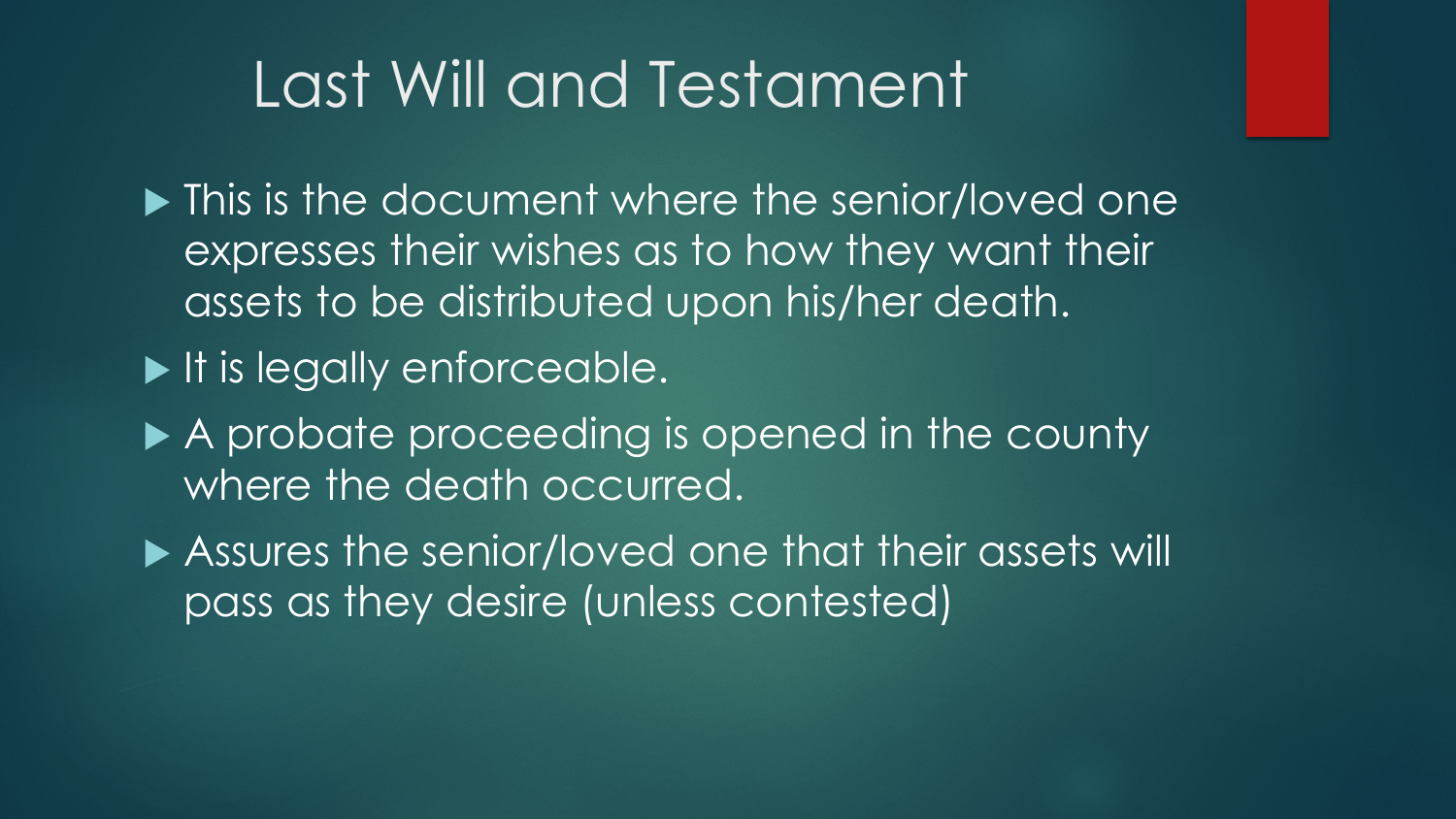### Last Will and Testament

 $\blacktriangleright$  This is the document where the senior/loved one expresses their wishes as to how they want their assets to be distributed upon his/her death.

- It is legally enforceable.
- A probate proceeding is opened in the county where the death occurred.

▶ Assures the senior/loved one that their assets will pass as they desire (unless contested)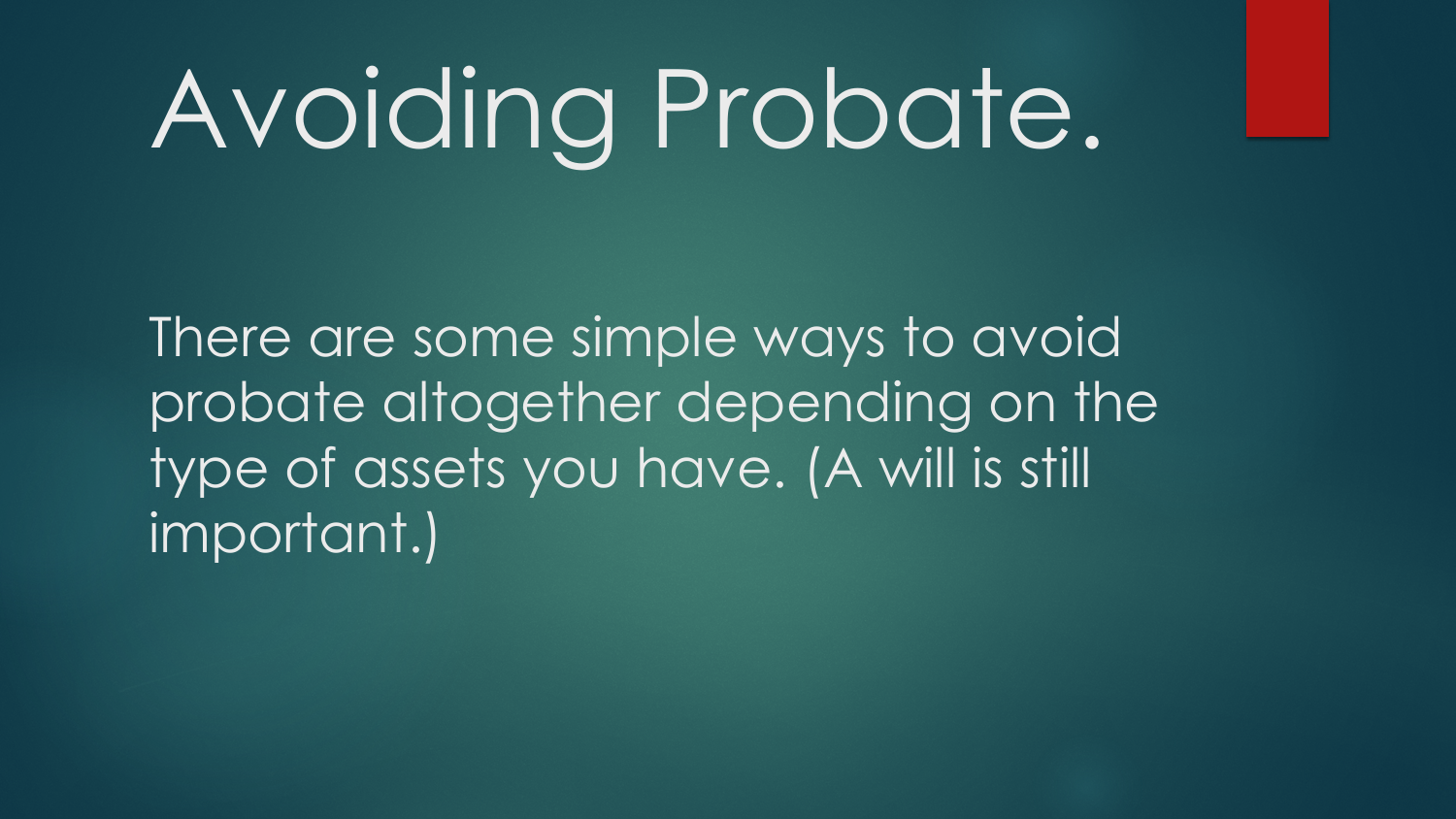# Avoiding Probate.

There are some simple ways to avoid probate altogether depending on the type of assets you have. (A will is still important.)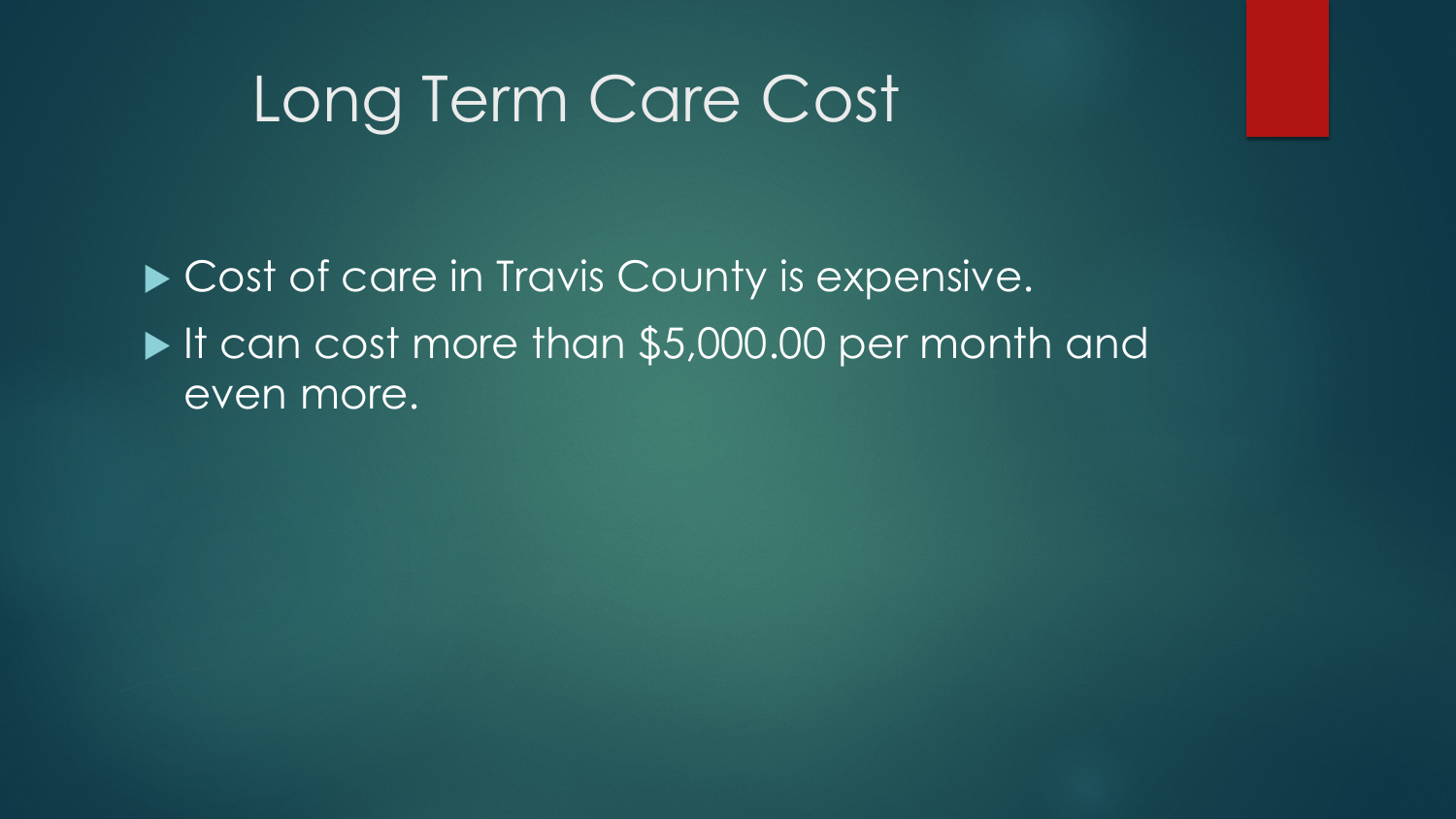#### Long Term Care Cost

Cost of care in Travis County is expensive. If can cost more than \$5,000.00 per month and even more.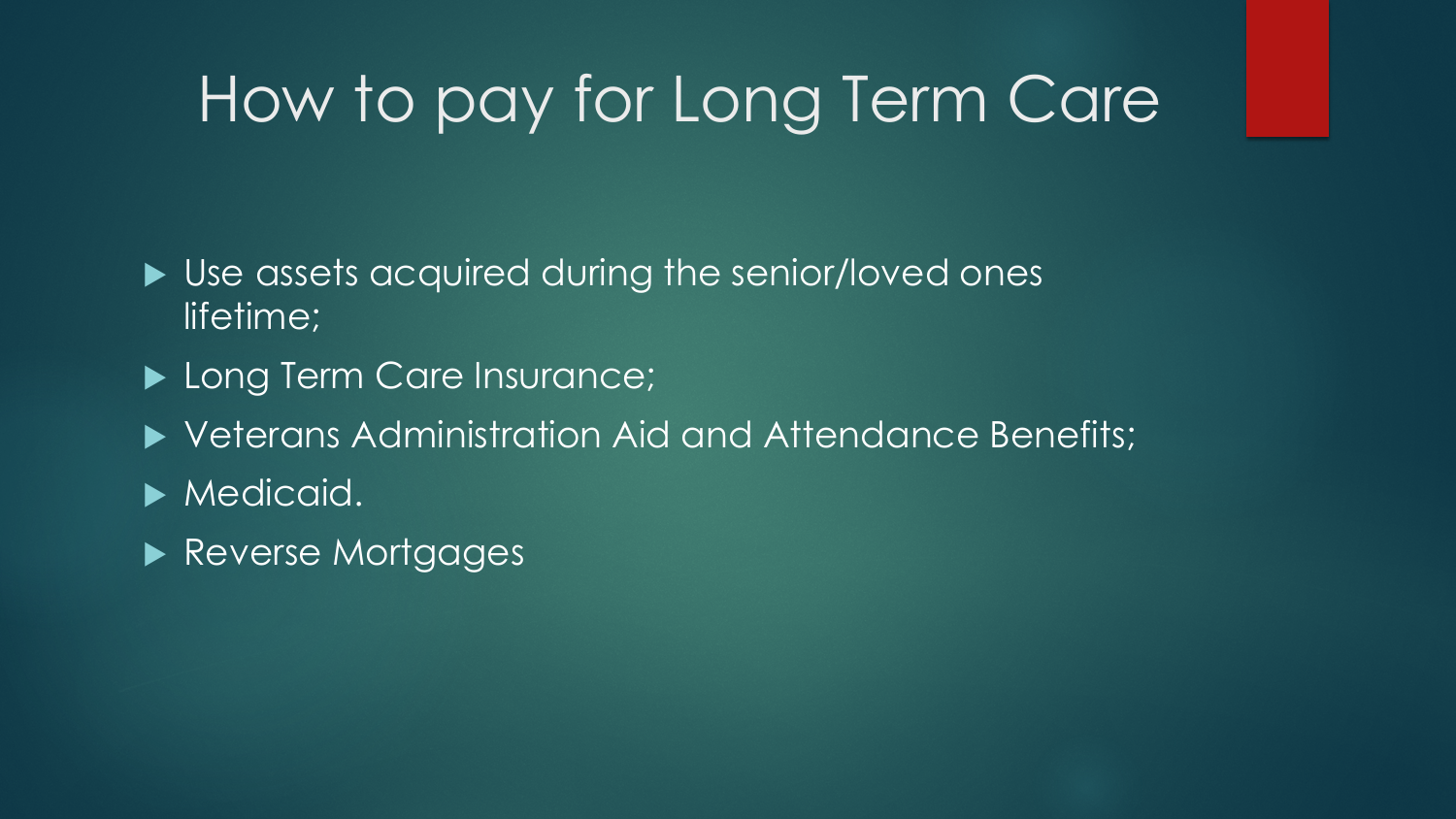# How to pay for Long Term Care

- ▶ Use assets acquired during the senior/loved ones lifetime;
- Long Term Care Insurance;
- Veterans Administration Aid and Attendance Benefits;
- Medicaid.
- Reverse Mortgages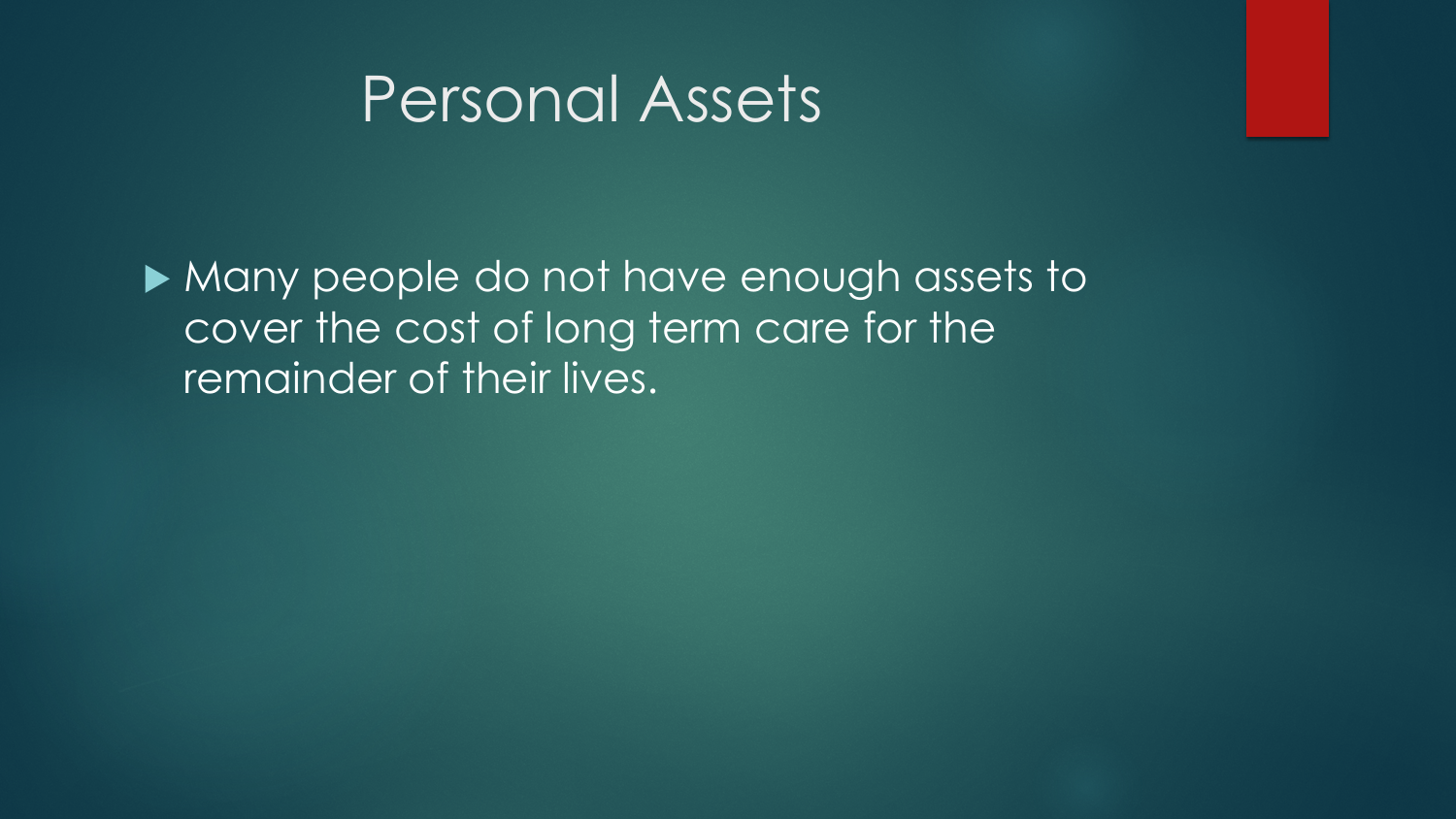#### Personal Assets

 Many people do not have enough assets to cover the cost of long term care for the remainder of their lives.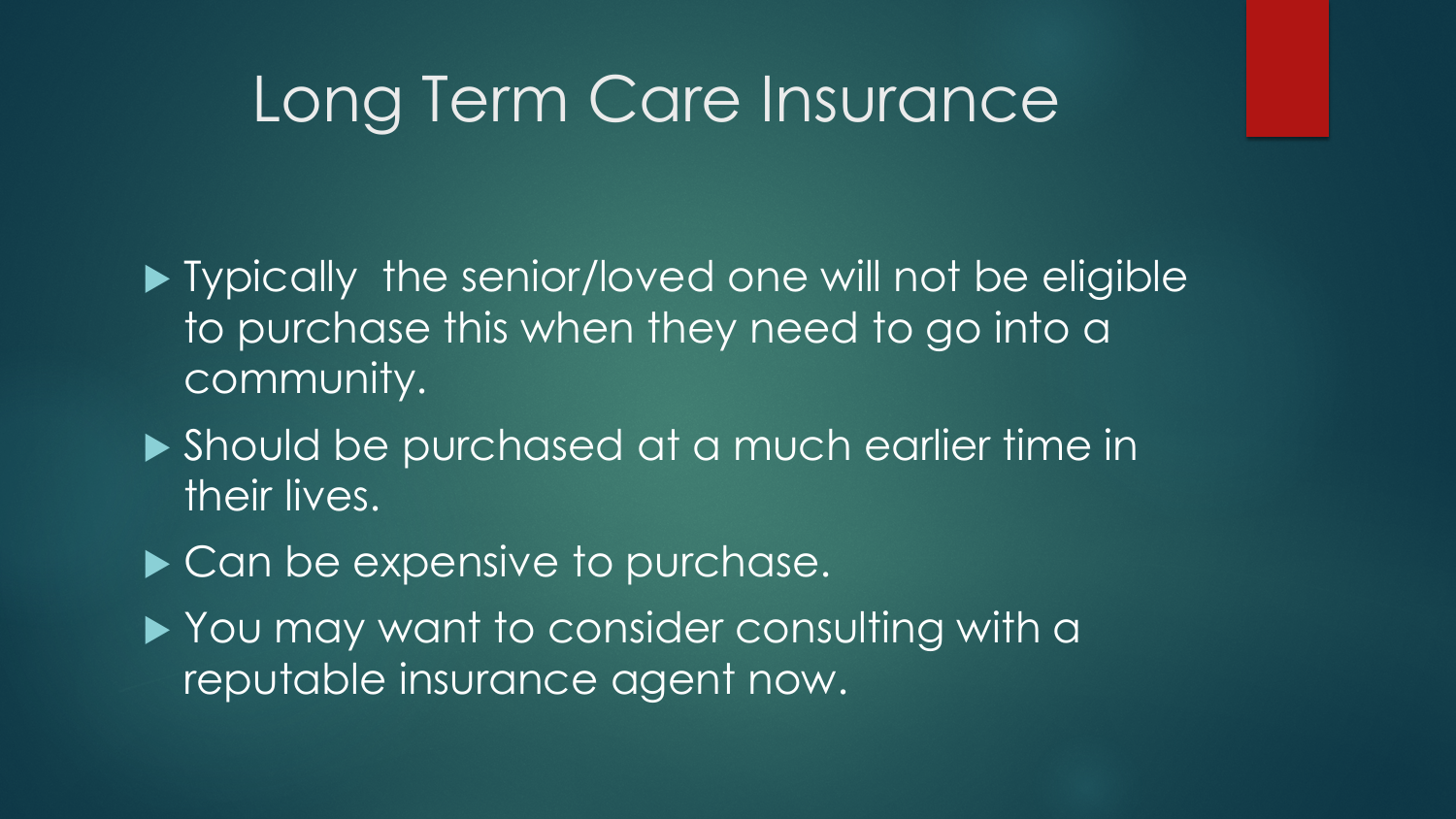#### Long Term Care Insurance

**Typically the senior/loved one will not be eligible** to purchase this when they need to go into a community.

- ▶ Should be purchased at a much earlier time in their lives.
- Can be expensive to purchase.
- ▶ You may want to consider consulting with a reputable insurance agent now.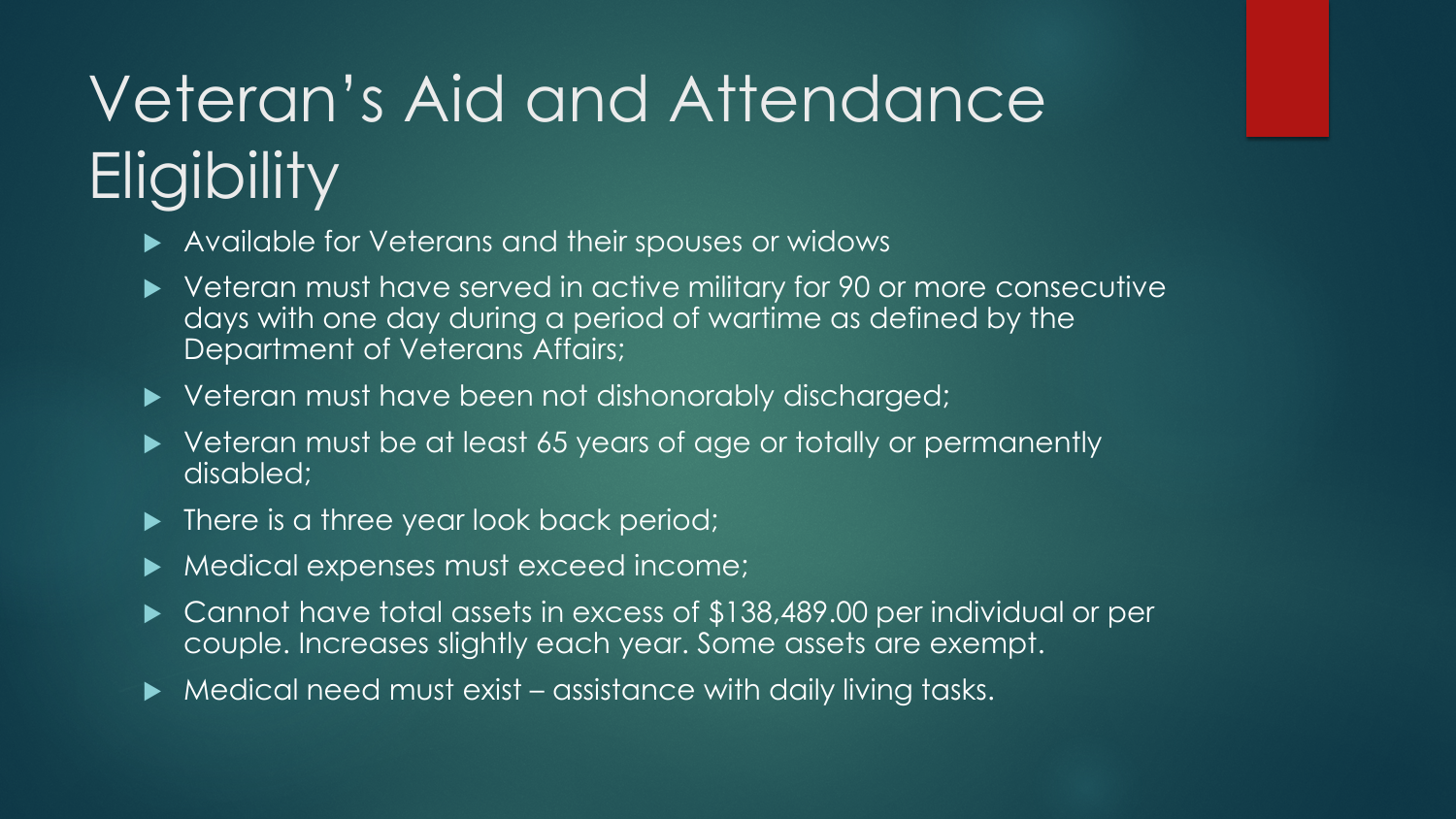# Veteran's Aid and Attendance **Eligibility**

- Available for Veterans and their spouses or widows
- ▶ Veteran must have served in active military for 90 or more consecutive days with one day during a period of wartime as defined by the Department of Veterans Affairs;
- ▶ Veteran must have been not dishonorably discharged;
- ▶ Veteran must be at least 65 years of age or totally or permanently disabled;
- $\blacktriangleright$  There is a three year look back period;
- $\blacktriangleright$  Medical expenses must exceed income;
- ▶ Cannot have total assets in excess of \$138,489.00 per individual or per couple. Increases slightly each year. Some assets are exempt.
- $\blacktriangleright$  Medical need must exist assistance with daily living tasks.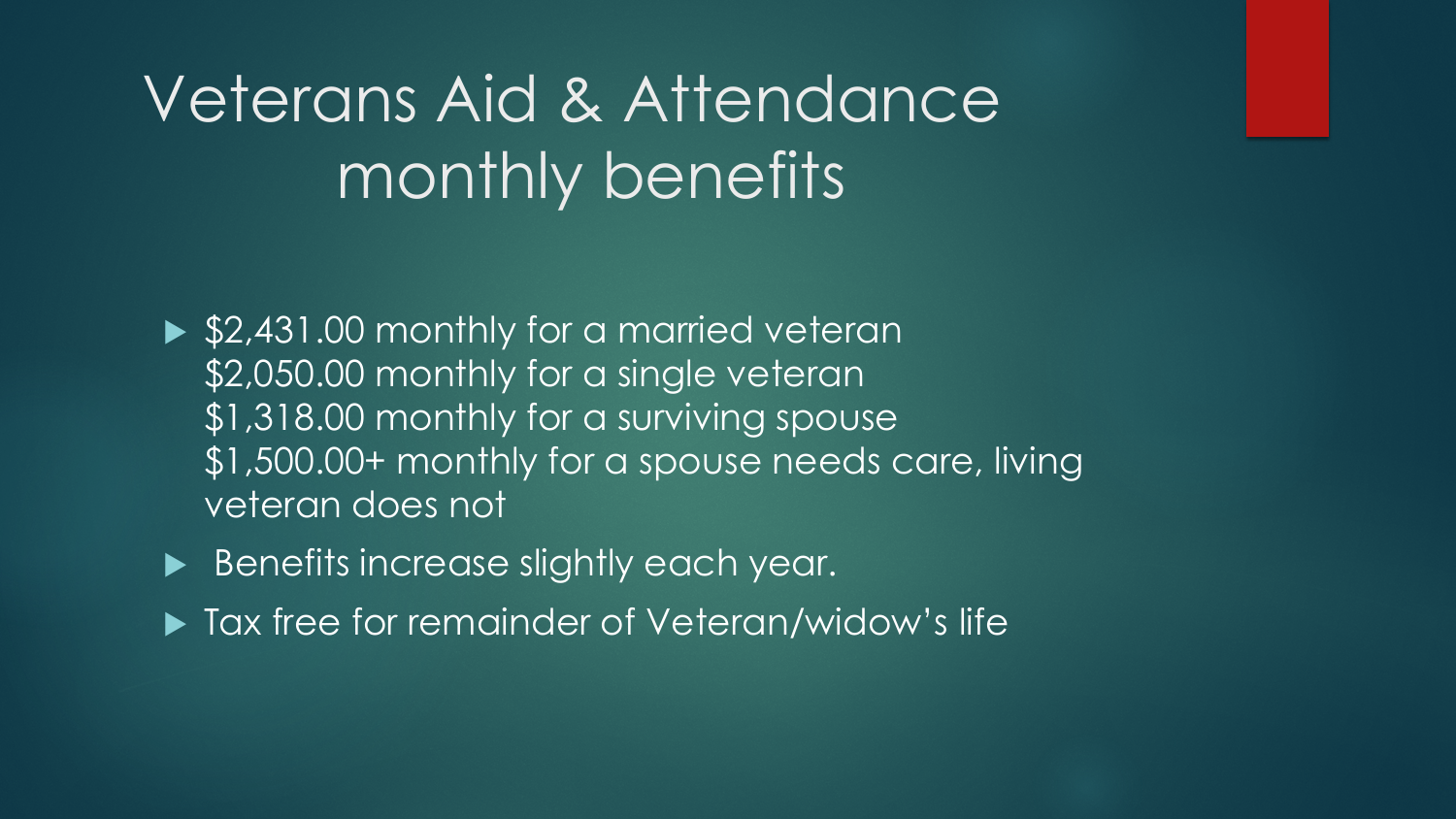# Veterans Aid & Attendance monthly benefits

- ▶ \$2,431.00 monthly for a married veteran \$2,050.00 monthly for a single veteran \$1,318.00 monthly for a surviving spouse \$1,500.00+ monthly for a spouse needs care, living veteran does not
- Benefits increase slightly each year.
- ▶ Tax free for remainder of Veteran/widow's life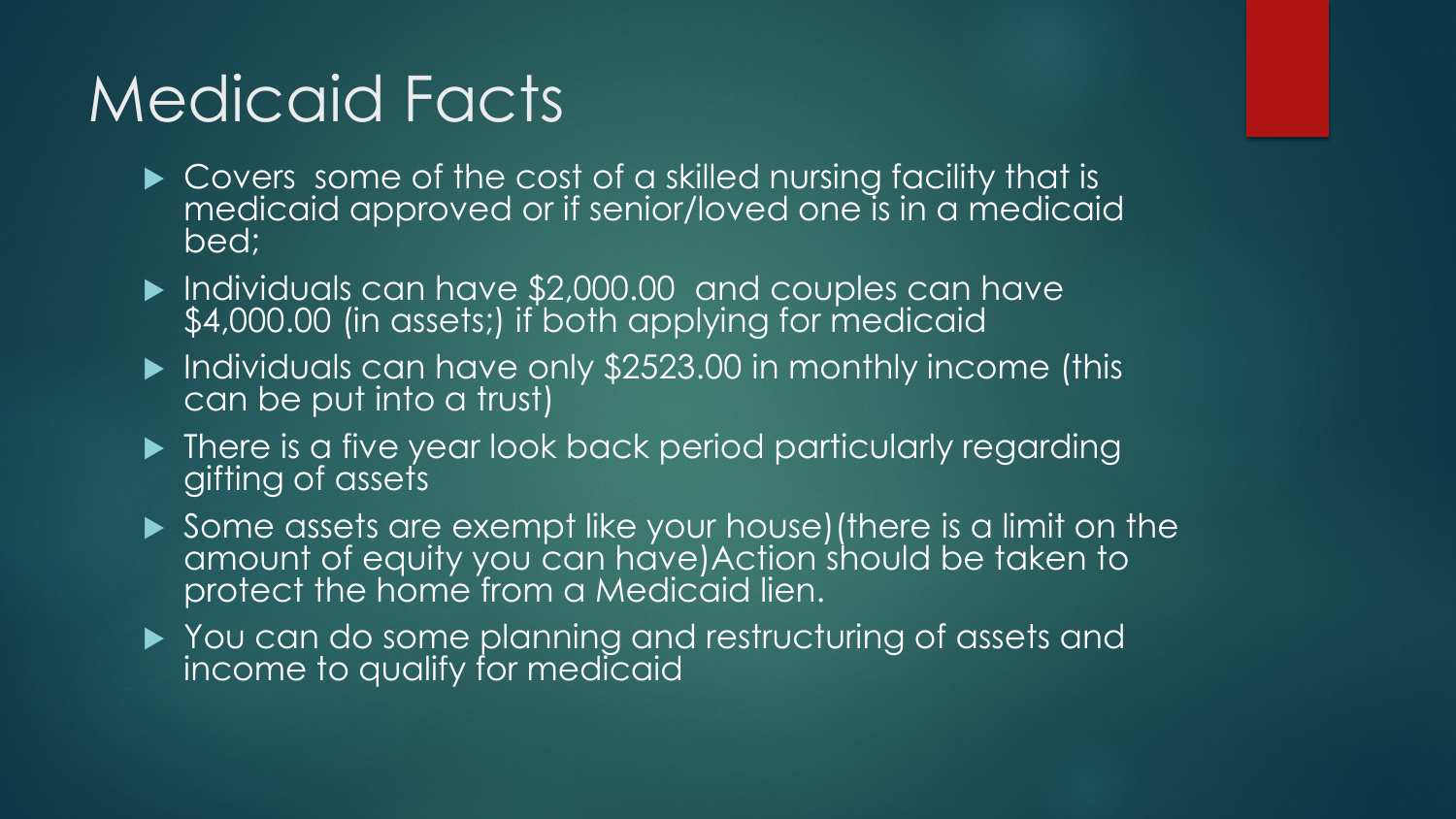# Medicaid Facts

- ▶ Covers some of the cost of a skilled nursing facility that is medicaid approved or if senior/loved one is in a medicaid bed;
- Individuals can have \$2,000.00 and couples can have \$4,000.00 (in assets;) if both applying for medicaid
- $\blacktriangleright$  Individuals can have only \$2523.00 in monthly income (this can be put into a trust)
- $\blacktriangleright$  There is a five year look back period particularly regarding gifting of assets
- Some assets are exempt like your house)(there is a limit on the amount of equity you can have) Action should be taken to protect the home from a Medicaid lien.
- ▶ You can do some planning and restructuring of assets and income to qualify for medicaid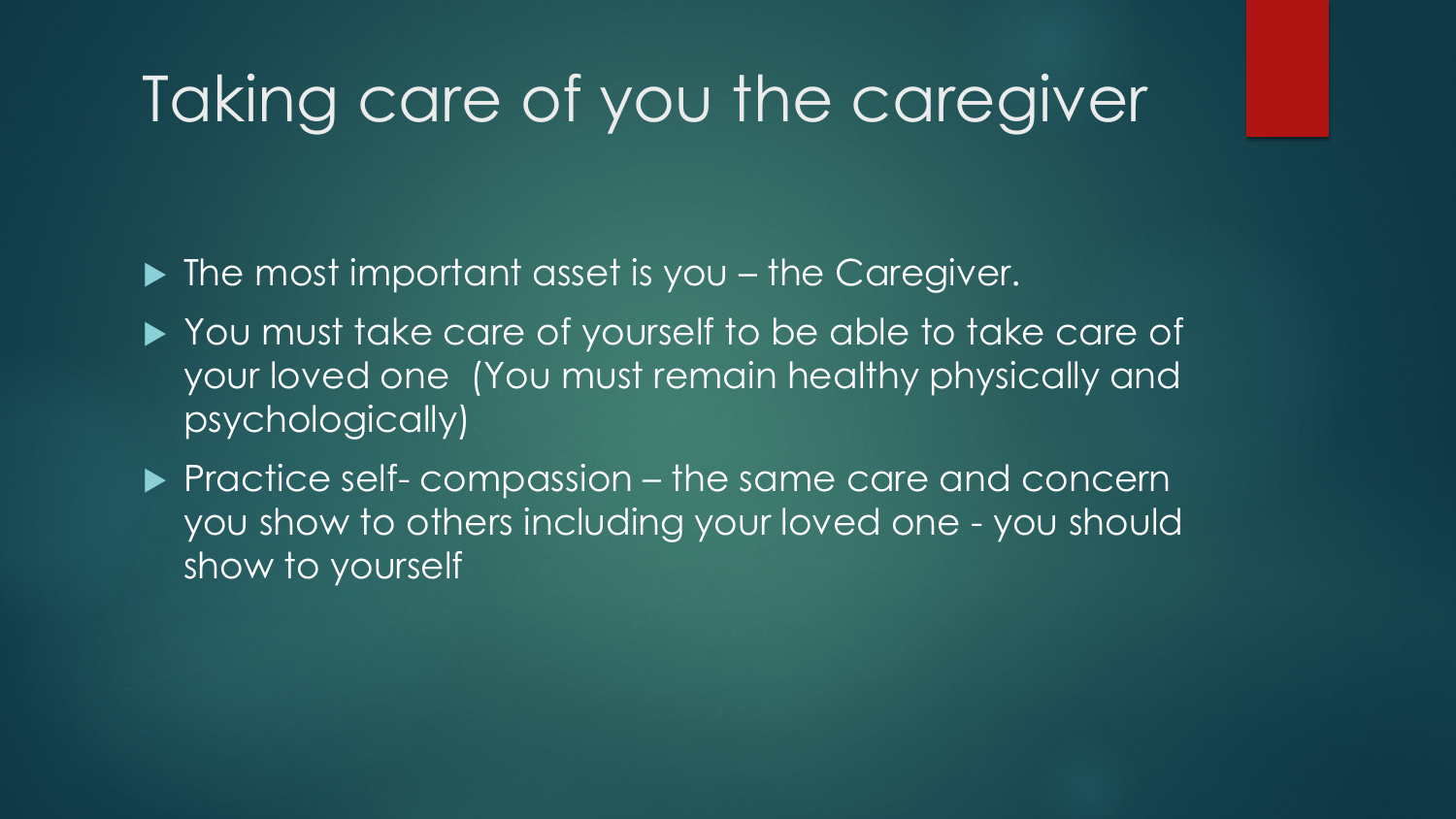# Taking care of you the caregiver

- ▶ The most important asset is you the Caregiver.
- ▶ You must take care of yourself to be able to take care of your loved one (You must remain healthy physically and psychologically)
- Practice self- compassion the same care and concern you show to others including your loved one - you should show to yourself